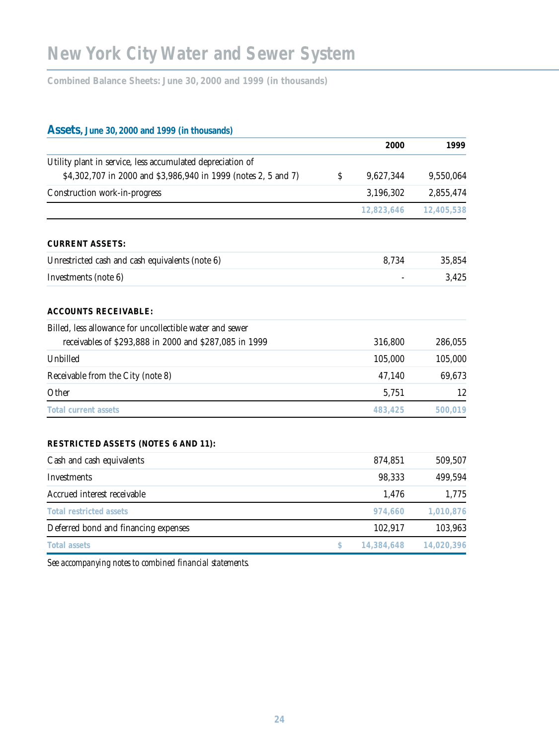**Combined Balance Sheets: June 30, 2000 and 1999 (in thousands)**

# **Assets, June 30, 2000 and 1999 (in thousands)**

|                                                                | 2000             | 1999       |
|----------------------------------------------------------------|------------------|------------|
| Utility plant in service, less accumulated depreciation of     |                  |            |
| \$4,302,707 in 2000 and \$3,986,940 in 1999 (notes 2, 5 and 7) | \$<br>9,627,344  | 9,550,064  |
| Construction work-in-progress                                  | 3,196,302        | 2,855,474  |
|                                                                | 12,823,646       | 12,405,538 |
| <b>CURRENT ASSETS:</b>                                         |                  |            |
| Unrestricted cash and cash equivalents (note 6)                | 8,734            | 35,854     |
| Investments (note 6)                                           |                  | 3,425      |
| <b>ACCOUNTS RECEIVABLE:</b>                                    |                  |            |
| Billed, less allowance for uncollectible water and sewer       |                  |            |
| receivables of \$293,888 in 2000 and \$287,085 in 1999         | 316,800          | 286,055    |
| Unbilled                                                       | 105,000          | 105,000    |
| Receivable from the City (note 8)                              | 47,140           | 69,673     |
| Other                                                          | 5,751            | 12         |
| <b>Total current assets</b>                                    | 483,425          | 500,019    |
| <b>RESTRICTED ASSETS (NOTES 6 AND 11):</b>                     |                  |            |
| Cash and cash equivalents                                      | 874,851          | 509,507    |
| <b>Investments</b>                                             | 98,333           | 499,594    |
| Accrued interest receivable                                    | 1,476            | 1,775      |
| <b>Total restricted assets</b>                                 | 974,660          | 1,010,876  |
| Deferred bond and financing expenses                           | 102,917          | 103,963    |
| <b>Total assets</b>                                            | \$<br>14,384,648 | 14,020,396 |

*See accompanying notes to combined financial statements.*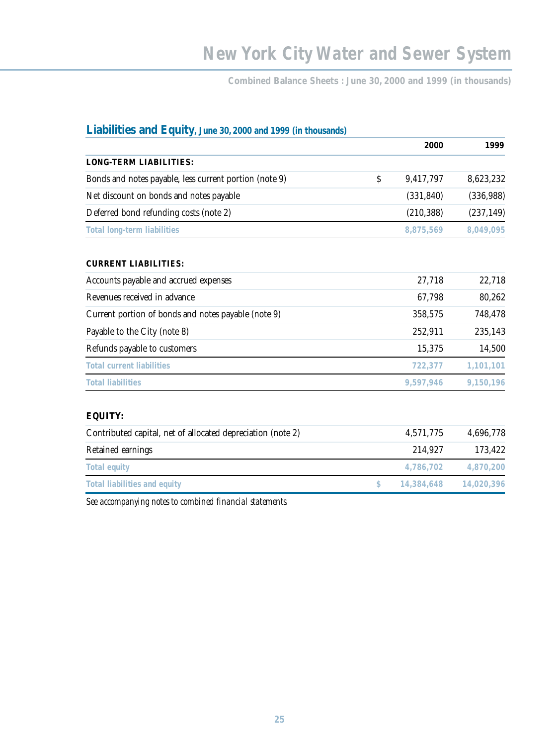**Combined Balance Sheets : June 30, 2000 and 1999 (in thousands)**

| Liabilities and Equity, June 30, 2000 and 1999 (in thousands) |                  |            |
|---------------------------------------------------------------|------------------|------------|
|                                                               | 2000             | 1999       |
| <b>LONG-TERM LIABILITIES:</b>                                 |                  |            |
| Bonds and notes payable, less current portion (note 9)        | \$<br>9,417,797  | 8,623,232  |
| Net discount on bonds and notes payable                       | (331, 840)       | (336, 988) |
| Deferred bond refunding costs (note 2)                        | (210, 388)       | (237, 149) |
| <b>Total long-term liabilities</b>                            | 8,875,569        | 8,049,095  |
| <b>CURRENT LIABILITIES:</b>                                   |                  |            |
| Accounts payable and accrued expenses                         | 27,718           | 22,718     |
| Revenues received in advance                                  | 67,798           | 80,262     |
| Current portion of bonds and notes payable (note 9)           | 358,575          | 748,478    |
| Payable to the City (note 8)                                  | 252,911          | 235,143    |
| Refunds payable to customers                                  | 15,375           | 14,500     |
| <b>Total current liabilities</b>                              | 722,377          | 1,101,101  |
| <b>Total liabilities</b>                                      | 9,597,946        | 9,150,196  |
| <b>EQUITY:</b>                                                |                  |            |
| Contributed capital, net of allocated depreciation (note 2)   | 4,571,775        | 4,696,778  |
| Retained earnings                                             | 214,927          | 173,422    |
| <b>Total equity</b>                                           | 4,786,702        | 4,870,200  |
| <b>Total liabilities and equity</b>                           | \$<br>14,384,648 | 14,020,396 |
|                                                               |                  |            |

*See accompanying notes to combined financial statements.*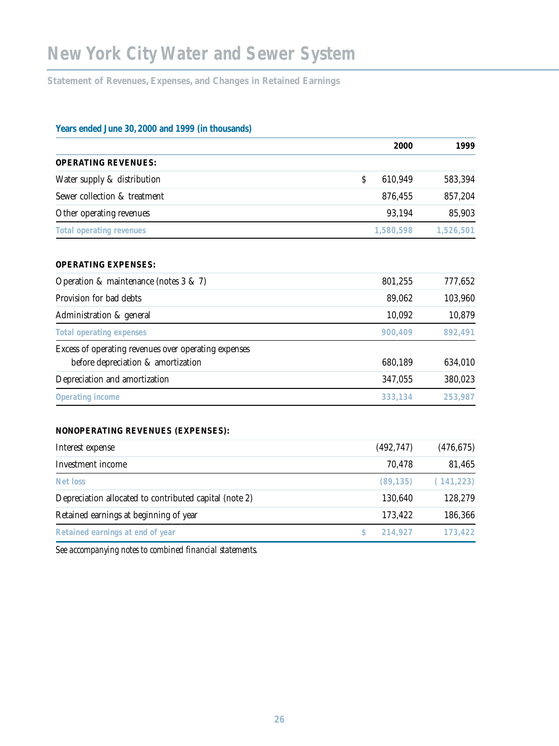# **New York City Water and Sewer System**

**Statement of Revenues, Expenses, and Changes in Retained Earnings** 

# **Years ended June 30, 2000 and 1999 (in thousands)**

|                                                        |    | 2000       | 1999       |
|--------------------------------------------------------|----|------------|------------|
| <b>OPERATING REVENUES:</b>                             |    |            |            |
| Water supply & distribution                            | Ś  | 610,949    | 583,394    |
| Sewer collection & treatment                           |    | 876,455    | 857,204    |
| Other operating revenues                               |    | 93,194     | 85,903     |
| <b>Total operating revenues</b>                        |    | 1,580,598  | 1,526,501  |
| <b>OPERATING EXPENSES:</b>                             |    |            |            |
| Operation & maintenance (notes $3 \& 7$ )              |    | 801,255    | 777,652    |
| Provision for bad debts                                |    | 89,062     | 103,960    |
| Administration & general                               |    | 10,092     | 10,879     |
| <b>Total operating expenses</b>                        |    | 900,409    | 892,491    |
| Excess of operating revenues over operating expenses   |    |            |            |
| before depreciation & amortization                     |    | 680,189    | 634,010    |
| Depreciation and amortization                          |    | 347,055    | 380,023    |
| Operating income                                       |    | 333,134    | 253,987    |
| <b>NONOPERATING REVENUES (EXPENSES):</b>               |    |            |            |
| Interest expense                                       |    | (492, 747) | (476, 675) |
| Investment income                                      |    | 70,478     | 81,465     |
| Net loss                                               |    | (89, 135)  | (141, 223) |
| Depreciation allocated to contributed capital (note 2) |    | 130,640    | 128,279    |
| Retained earnings at beginning of year                 |    | 173,422    | 186,366    |
| Retained earnings at end of year                       | \$ | 214,927    | 173,422    |

*See accompanying notes to combined financial statements.*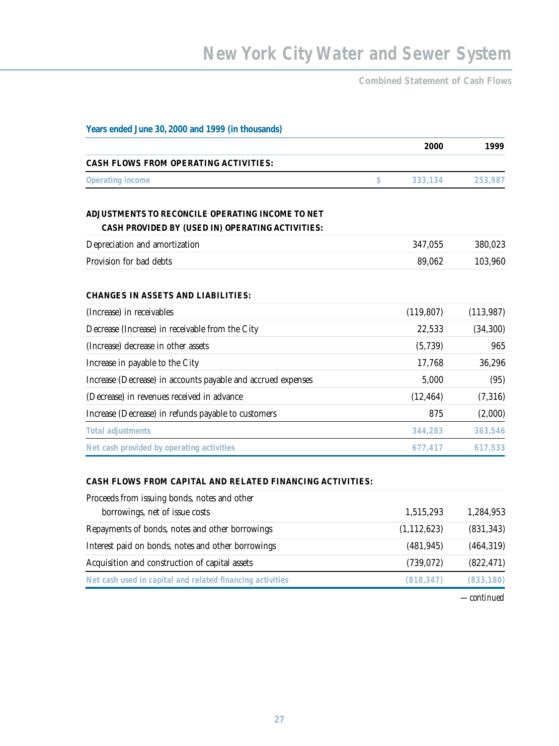**Combined Statement of Cash Flows**

| Years ended June 30, 2000 and 1999 (in thousands)                                                                         |                      |                         |
|---------------------------------------------------------------------------------------------------------------------------|----------------------|-------------------------|
|                                                                                                                           | 2000                 | 1999                    |
| <b>CASH FLOWS FROM OPERATING ACTIVITIES:</b>                                                                              |                      |                         |
| Operating income                                                                                                          | \$<br>333,134        | 253,987                 |
| ADJUSTMENTS TO RECONCILE OPERATING INCOME TO NET<br>CASH PROVIDED BY (USED IN) OPERATING ACTIVITIES:                      |                      |                         |
| Depreciation and amortization                                                                                             | 347,055              | 380,023                 |
| Provision for bad debts                                                                                                   | 89,062               | 103,960                 |
| <b>CHANGES IN ASSETS AND LIABILITIES:</b><br>(Increase) in receivables<br>Decrease (Increase) in receivable from the City | (119, 807)<br>22,533 | (113, 987)<br>(34, 300) |
| (Increase) decrease in other assets                                                                                       | (5,739)              | 965                     |
| Increase in payable to the City                                                                                           | 17,768               | 36,296                  |
| Increase (Decrease) in accounts payable and accrued expenses                                                              | 5,000                | (95)                    |
| (Decrease) in revenues received in advance                                                                                | (12, 464)            | (7,316)                 |
| Increase (Decrease) in refunds payable to customers                                                                       | 875                  | (2,000)                 |
| <b>Total adjustments</b>                                                                                                  | 344,283              | 363,546                 |
| Net cash provided by operating activities                                                                                 | 677,417              | 617,533                 |
|                                                                                                                           |                      |                         |

## **CASH FLOWS FROM CAPITAL AND RELATED FINANCING ACTIVITIES:**

# Proceeds from issuing bonds, notes and other

| borrowings, net of issue costs                            | 1,515,293     | 1,284,953  |
|-----------------------------------------------------------|---------------|------------|
| Repayments of bonds, notes and other borrowings           | (1, 112, 623) | (831, 343) |
| Interest paid on bonds, notes and other borrowings        | (481, 945)    | (464, 319) |
| Acquisition and construction of capital assets            | (739, 072)    | (822, 471) |
| Net cash used in capital and related financing activities | (818, 347)    | (833, 180) |

*—continued*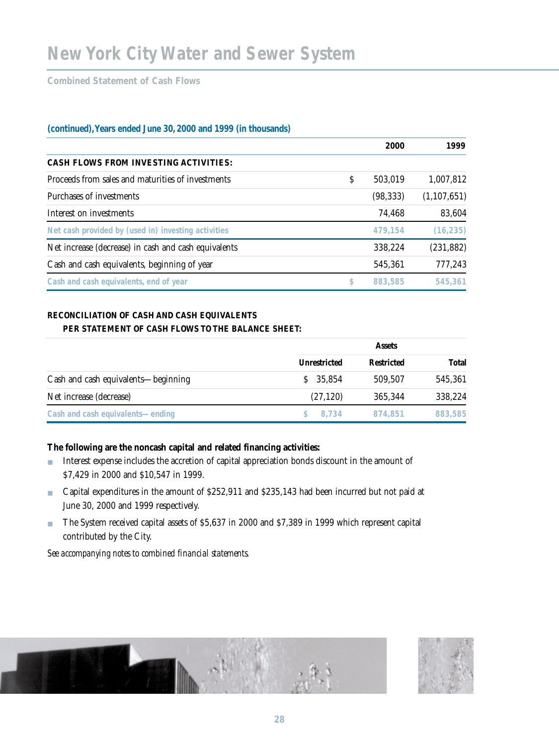**Combined Statement of Cash Flows** 

## **(continued),Years ended June 30, 2000 and 1999 (in thousands)**

|                                                      | 2000          | 1999          |
|------------------------------------------------------|---------------|---------------|
| <b>CASH FLOWS FROM INVESTING ACTIVITIES:</b>         |               |               |
| Proceeds from sales and maturities of investments    | \$<br>503,019 | 1,007,812     |
| Purchases of investments                             | (98, 333)     | (1, 107, 651) |
| Interest on investments                              | 74,468        | 83,604        |
| Net cash provided by (used in) investing activities  | 479.154       | (16, 235)     |
| Net increase (decrease) in cash and cash equivalents | 338,224       | (231, 882)    |
| Cash and cash equivalents, beginning of year         | 545,361       | 777,243       |
| Cash and cash equivalents, end of year               | \$<br>883,585 | 545,361       |

### **RECONCILIATION OF CASH AND CASH EQUIVALENTS PER STATEMENT OF CASH FLOWS TO THE BALANCE SHEET:**

|                                     |                     | <b>Assets</b>     |         |  |
|-------------------------------------|---------------------|-------------------|---------|--|
|                                     | <b>Unrestricted</b> | <b>Restricted</b> | Total   |  |
| Cash and cash equivalents—beginning | \$35,854            | 509,507           | 545,361 |  |
| Net increase (decrease)             | (27, 120)           | 365,344           | 338,224 |  |
| Cash and cash equivalents—ending    | \$8.734             | 874.851           | 883,585 |  |

## **The following are the noncash capital and related financing activities:**

- Interest expense includes the accretion of capital appreciation bonds discount in the amount of \$7,429 in 2000 and \$10,547 in 1999.
- Capital expenditures in the amount of \$252,911 and \$235,143 had been incurred but not paid at June 30, 2000 and 1999 respectively.
- The System received capital assets of \$5,637 in 2000 and \$7,389 in 1999 which represent capital contributed by the City.

*See accompanying notes to combined financial statements.*



**28**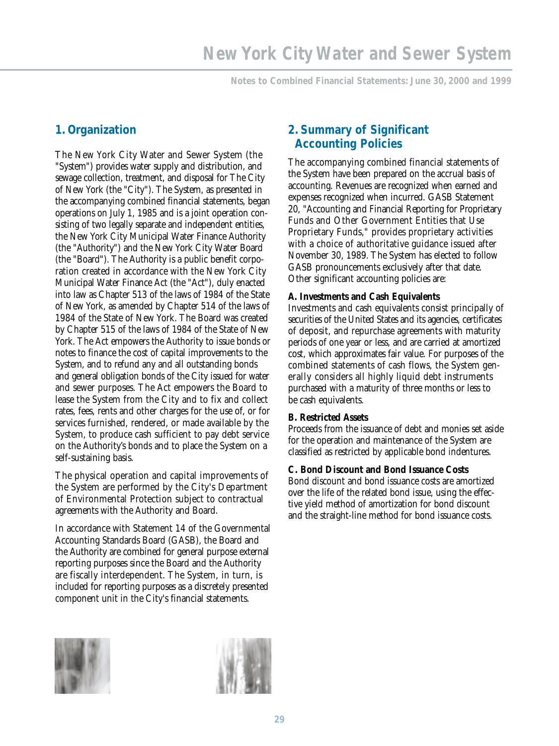**Notes to Combined Financial Statements: June 30, 2000 and 1999** 

# **1. Organization**

The New York City Water and Sewer System (the "System") provides water supply and distribution, and sewage collection, treatment, and disposal for The City of New York (the "City"). The System, as presented in the accompanying combined financial statements, began operations on July 1, 1985 and is a joint operation consisting of two legally separate and independent entities, the New York City Municipal Water Finance Authority (the "Authority") and the New York City Water Board (the "Board"). The Authority is a public benefit corporation created in accordance with the New York City Municipal Water Finance Act (the "Act"), duly enacted into law as Chapter 513 of the laws of 1984 of the State of New York, as amended by Chapter 514 of the laws of 1984 of the State of New York. The Board was created by Chapter 515 of the laws of 1984 of the State of New York. The Act empowers the Authority to issue bonds or notes to finance the cost of capital improvements to the System, and to refund any and all outstanding bonds and general obligation bonds of the City issued for water and sewer purposes. The Act empowers the Board to lease the System from the City and to fix and collect rates, fees, rents and other charges for the use of, or for services furnished, rendered, or made available by the System, to produce cash sufficient to pay debt service on the Authority's bonds and to place the System on a self-sustaining basis.

The physical operation and capital improvements of the System are performed by the City's Department of Environmental Protection subject to contractual agreements with the Authority and Board.

In accordance with Statement 14 of the Governmental Accounting Standards Board (GASB), the Board and the Authority are combined for general purpose external reporting purposes since the Board and the Authority are fiscally interdependent. The System, in turn, is included for reporting purposes as a discretely presented component unit in the City's financial statements.

# **2. Summary of Significant Accounting Policies**

The accompanying combined financial statements of the System have been prepared on the accrual basis of accounting. Revenues are recognized when earned and expenses recognized when incurred. GASB Statement 20, "Accounting and Financial Reporting for Proprietary Funds and Other Government Entities that Use Proprietary Funds," provides proprietary activities with a choice of authoritative guidance issued after November 30, 1989. The System has elected to follow GASB pronouncements exclusively after that date. Other significant accounting policies are:

## **A. Investments and Cash Equivalents**

Investments and cash equivalents consist principally of securities of the United States and its agencies, certificates of deposit, and repurchase agreements with maturity periods of one year or less, and are carried at amortized cost, which approximates fair value. For purposes of the combined statements of cash flows, the System generally considers all highly liquid debt instruments purchased with a maturity of three months or less to be cash equivalents.

## **B. Restricted Assets**

Proceeds from the issuance of debt and monies set aside for the operation and maintenance of the System are classified as restricted by applicable bond indentures.

## **C. Bond Discount and Bond Issuance Costs**

Bond discount and bond issuance costs are amortized over the life of the related bond issue, using the effective yield method of amortization for bond discount and the straight-line method for bond issuance costs.



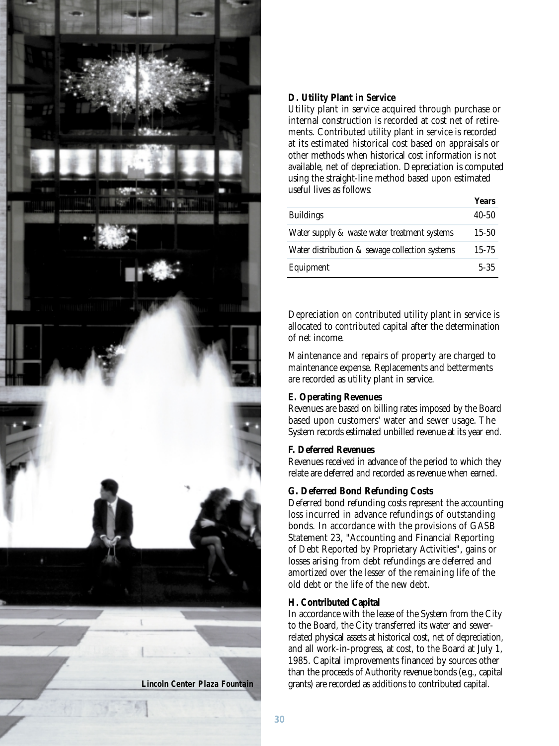

## **D. Utility Plant in Service**

Utility plant in service acquired through purchase or internal construction is recorded at cost net of retirements. Contributed utility plant in service is recorded at its estimated historical cost based on appraisals or other methods when historical cost information is not available, net of depreciation. Depreciation is computed using the straight-line method based upon estimated useful lives as follows:

|                                                | Years     |
|------------------------------------------------|-----------|
| <b>Buildings</b>                               | $40 - 50$ |
| Water supply & waste water treatment systems   | 15-50     |
| Water distribution & sewage collection systems | $15 - 75$ |
| Equipment                                      | $5 - 35$  |

Depreciation on contributed utility plant in service is allocated to contributed capital after the determination of net income.

Maintenance and repairs of property are charged to maintenance expense. Replacements and betterments are recorded as utility plant in service.

### **E. Operating Revenues**

Revenues are based on billing rates imposed by the Board based upon customers' water and sewer usage. The System records estimated unbilled revenue at its year end.

#### **F. Deferred Revenues**

Revenues received in advance of the period to which they relate are deferred and recorded as revenue when earned.

## **G. Deferred Bond Refunding Costs**

Deferred bond refunding costs represent the accounting loss incurred in advance refundings of outstanding bonds. In accordance with the provisions of GASB Statement 23, "Accounting and Financial Reporting of Debt Reported by Proprietary Activities", gains or losses arising from debt refundings are deferred and amortized over the lesser of the remaining life of the old debt or the life of the new debt.

#### **H. Contributed Capital**

In accordance with the lease of the System from the City to the Board, the City transferred its water and sewerrelated physical assets at historical cost, net of depreciation, and all work-in-progress, at cost, to the Board at July 1, 1985. Capital improvements financed by sources other than the proceeds of Authority revenue bonds (e.g., capital grants) are recorded as additions to contributed capital.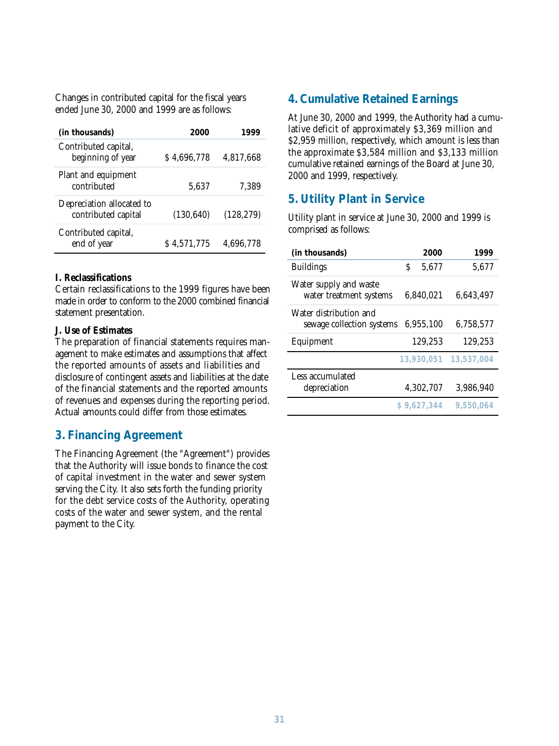Changes in contributed capital for the fiscal years ended June 30, 2000 and 1999 are as follows:

| (in thousands)                                   | 2000        | 1999       | lative deficit of approximately \$3,369 million and                                                                                                                     |      |      |
|--------------------------------------------------|-------------|------------|-------------------------------------------------------------------------------------------------------------------------------------------------------------------------|------|------|
| Contributed capital,<br>beginning of year        | \$4,696,778 | 4,817,668  | \$2,959 million, respectively, which amount is less that<br>the approximate \$3,584 million and \$3,133 millio<br>cumulative retained earnings of the Board at June 30, |      |      |
| Plant and equipment<br>contributed               | 5,637       | 7,389      | 2000 and 1999, respectively.                                                                                                                                            |      |      |
| Depreciation allocated to<br>contributed capital | (130, 640)  | (128, 279) | <b>5. Utility Plant in Service</b><br>Utility plant in service at June 30, 2000 and 1999 is                                                                             |      |      |
| Contributed capital,<br>end of year              | \$4,571,775 | 4,696,778  | comprised as follows:<br>(in thousands)                                                                                                                                 | 2000 | 1999 |

### **I. Reclassifications**

Certain reclassifications to the 1999 figures have been made in order to conform to the 2000 combined financial statement presentation.

### **J. Use of Estimates**

The preparation of financial statements requires management to make estimates and assumptions that affect the reported amounts of assets and liabilities and disclosure of contingent assets and liabilities at the date of the financial statements and the reported amounts of revenues and expenses during the reporting period. Actual amounts could differ from those estimates.

## **3. Financing Agreement**

The Financing Agreement (the "Agreement") provides that the Authority will issue bonds to finance the cost of capital investment in the water and sewer system serving the City. It also sets forth the funding priority for the debt service costs of the Authority, operating costs of the water and sewer system, and the rental payment to the City.

## **4. Cumulative Retained Earnings**

At June 30, 2000 and 1999, the Authority had a cumulative deficit of approximately \$3,369 million and \$2,959 million, respectively, which amount is less than the approximate \$3,584 million and \$3,133 million cumulative retained earnings of the Board at June 30, 2000 and 1999, respectively.

## **5. Utility Plant in Service**

| (in thousands)                                      |   | 2000        | 1999                  |
|-----------------------------------------------------|---|-------------|-----------------------|
| <b>Buildings</b>                                    | Ś | 5,677       | 5,677                 |
| Water supply and waste<br>water treatment systems   |   | 6,840,021   | 6,643,497             |
| Water distribution and<br>sewage collection systems |   | 6,955,100   | 6,758,577             |
| Equipment                                           |   | 129,253     | 129,253               |
|                                                     |   |             | 13,930,051 13,537,004 |
| Less accumulated<br>depreciation                    |   | 4,302,707   | 3,986,940             |
|                                                     |   | \$9.627.344 | 9,550,064             |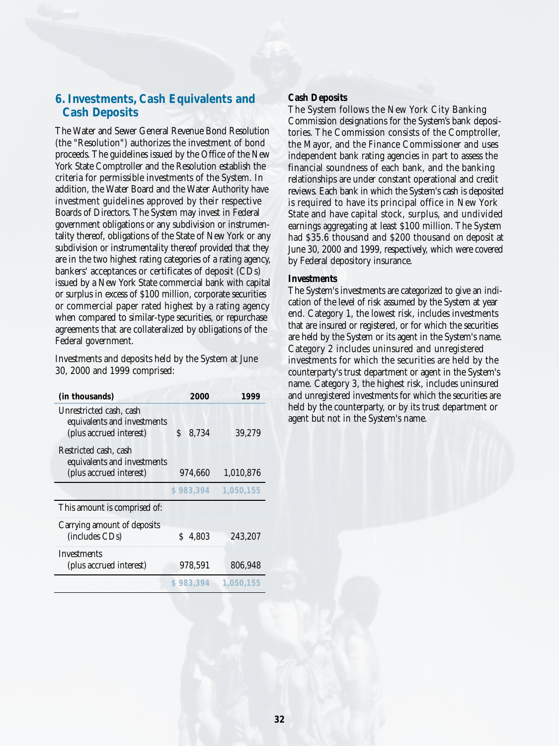# **6. Investments, Cash Equivalents and Cash Deposits**

The Water and Sewer General Revenue Bond Resolution (the "Resolution") authorizes the investment of bond proceeds. The guidelines issued by the Office of the New York State Comptroller and the Resolution establish the criteria for permissible investments of the System. In addition, the Water Board and the Water Authority have investment guidelines approved by their respective Boards of Directors. The System may invest in Federal government obligations or any subdivision or instrumentality thereof, obligations of the State of New York or any subdivision or instrumentality thereof provided that they are in the two highest rating categories of a rating agency, bankers' acceptances or certificates of deposit (CDs) issued by a New York State commercial bank with capital or surplus in excess of \$100 million, corporate securities or commercial paper rated highest by a rating agency when compared to similar-type securities, or repurchase agreements that are collateralized by obligations of the Federal government.

Investments and deposits held by the System at June 30, 2000 and 1999 comprised:

| (in thousands)                                                                    | 2000       | 1999      |
|-----------------------------------------------------------------------------------|------------|-----------|
| Unrestricted cash, cash<br>equivalents and investments<br>(plus accrued interest) | 8,734<br>Ŝ | 39,279    |
| Restricted cash, cash<br>equivalents and investments<br>(plus accrued interest)   | 974,660    | 1,010,876 |
|                                                                                   | \$983,394  | 1,050,155 |
| This amount is comprised of:                                                      |            |           |
| Carrying amount of deposits<br>(includes CDs)                                     | 4,803<br>S | 243,207   |
| Investments<br>(plus accrued interest)                                            | 978,591    | 806,948   |
|                                                                                   | \$983.394  | 1,050,155 |

### **Cash Deposits**

The System follows the New York City Banking Commission designations for the System's bank depositories. The Commission consists of the Comptroller, the Mayor, and the Finance Commissioner and uses independent bank rating agencies in part to assess the financial soundness of each bank, and the banking relationships are under constant operational and credit reviews. Each bank in which the System's cash is deposited is required to have its principal office in New York State and have capital stock, surplus, and undivided earnings aggregating at least \$100 million. The System had \$35.6 thousand and \$200 thousand on deposit at June 30, 2000 and 1999, respectively, which were covered by Federal depository insurance.

#### **Investments**

The System's investments are categorized to give an indication of the level of risk assumed by the System at year end. Category 1, the lowest risk, includes investments that are insured or registered, or for which the securities are held by the System or its agent in the System's name. Category 2 includes uninsured and unregistered investments for which the securities are held by the counterparty's trust department or agent in the System's name. Category 3, the highest risk, includes uninsured and unregistered investments for which the securities are held by the counterparty, or by its trust department or agent but not in the System's name.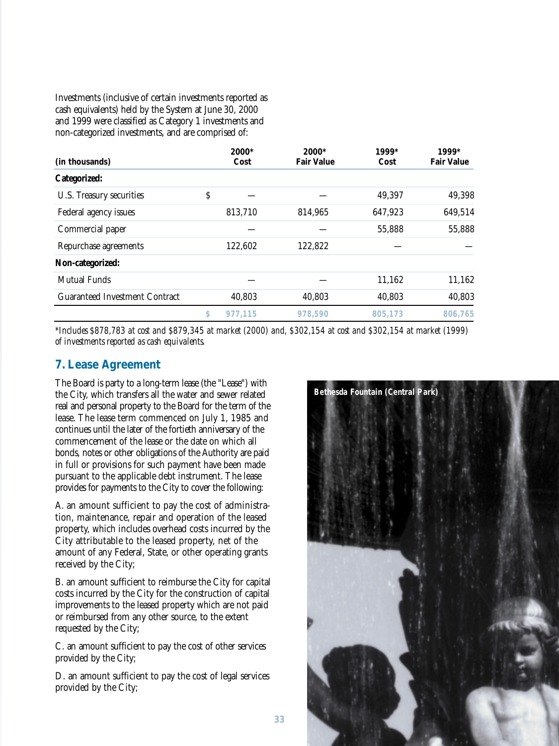Investments (inclusive of certain investments reported as cash equivalents) held by the System at June 30, 2000 and 1999 were classified as Category 1 investments and non-categorized investments, and are comprised of:

| (in thousands)                        | 2000*<br>Cost | $2000*$<br><b>Fair Value</b> | 1999*<br>Cost | 1999*<br><b>Fair Value</b> |
|---------------------------------------|---------------|------------------------------|---------------|----------------------------|
| <b>Categorized:</b>                   |               |                              |               |                            |
| U.S. Treasury securities              | \$            |                              | 49,397        | 49,398                     |
| Federal agency issues                 | 813,710       | 814,965                      | 647,923       | 649,514                    |
| Commercial paper                      |               |                              | 55,888        | 55,888                     |
| Repurchase agreements                 | 122,602       | 122,822                      |               |                            |
| Non-categorized:                      |               |                              |               |                            |
| <b>Mutual Funds</b>                   |               |                              | 11,162        | 11,162                     |
| <b>Guaranteed Investment Contract</b> | 40,803        | 40,803                       | 40,803        | 40,803                     |
|                                       | \$<br>977.115 | 978,590                      | 805,173       | 806,765                    |

*\*Includes \$878,783 at cost and \$879,345 at market (2000) and, \$302,154 at cost and \$302,154 at market (1999) of investments reported as cash equivalents.*

## **7. Lease Agreement**

The Board is party to a long-term lease (the "Lease") with the City, which transfers all the water and sewer related real and personal property to the Board for the term of the lease. The lease term commenced on July 1, 1985 and continues until the later of the fortieth anniversary of the commencement of the lease or the date on which all bonds, notes or other obligations of the Authority are paid in full or provisions for such payment have been made pursuant to the applicable debt instrument. The lease provides for payments to the City to cover the following:

A. an amount sufficient to pay the cost of administration, maintenance, repair and operation of the leased property, which includes overhead costs incurred by the City attributable to the leased property, net of the amount of any Federal, State, or other operating grants received by the City;

B. an amount sufficient to reimburse the City for capital costs incurred by the City for the construction of capital improvements to the leased property which are not paid or reimbursed from any other source, to the extent requested by the City;

C. an amount sufficient to pay the cost of other services provided by the City;

D. an amount sufficient to pay the cost of legal services provided by the City;

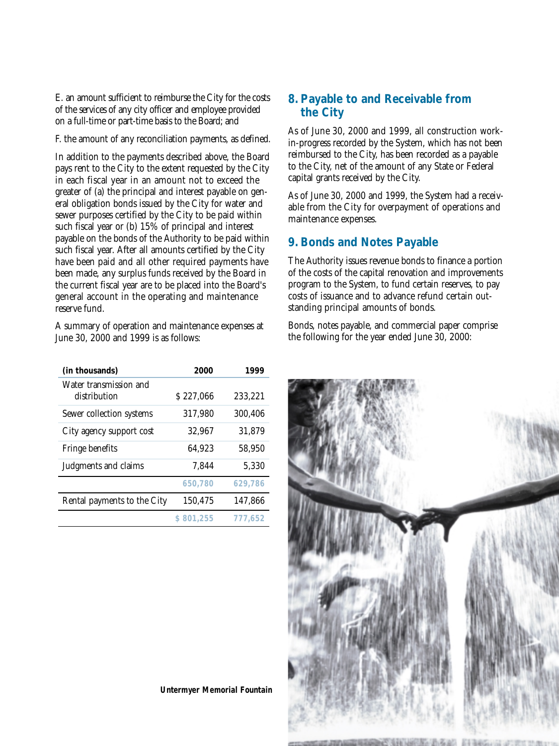E. an amount sufficient to reimburse the City for the costs of the services of any city officer and employee provided on a full-time or part-time basis to the Board; and

F. the amount of any reconciliation payments, as defined.

In addition to the payments described above, the Board pays rent to the City to the extent requested by the City in each fiscal year in an amount not to exceed the greater of (a) the principal and interest payable on general obligation bonds issued by the City for water and sewer purposes certified by the City to be paid within such fiscal year or (b) 15% of principal and interest payable on the bonds of the Authority to be paid within such fiscal year. After all amounts certified by the City have been paid and all other required payments have been made, any surplus funds received by the Board in the current fiscal year are to be placed into the Board's general account in the operating and maintenance reserve fund.

A summary of operation and maintenance expenses at June 30, 2000 and 1999 is as follows:

| (in thousands)                         | 2000      | 1999    |
|----------------------------------------|-----------|---------|
| Water transmission and<br>distribution | \$227,066 | 233,221 |
| Sewer collection systems               | 317,980   | 300,406 |
| City agency support cost               | 32,967    | 31,879  |
| Fringe benefits                        | 64,923    | 58,950  |
| Judgments and claims                   | 7.844     | 5,330   |
|                                        | 650,780   | 629,786 |
| Rental payments to the City            | 150,475   | 147,866 |
|                                        | \$801,255 | 777.652 |

# **8. Payable to and Receivable from the City**

As of June 30, 2000 and 1999, all construction workin-progress recorded by the System, which has not been reimbursed to the City, has been recorded as a payable to the City, net of the amount of any State or Federal capital grants received by the City.

As of June 30, 2000 and 1999, the System had a receivable from the City for overpayment of operations and maintenance expenses.

# **9. Bonds and Notes Payable**

The Authority issues revenue bonds to finance a portion of the costs of the capital renovation and improvements program to the System, to fund certain reserves, to pay costs of issuance and to advance refund certain outstanding principal amounts of bonds.

Bonds, notes payable, and commercial paper comprise the following for the year ended June 30, 2000:



**Untermyer Memorial Fountain**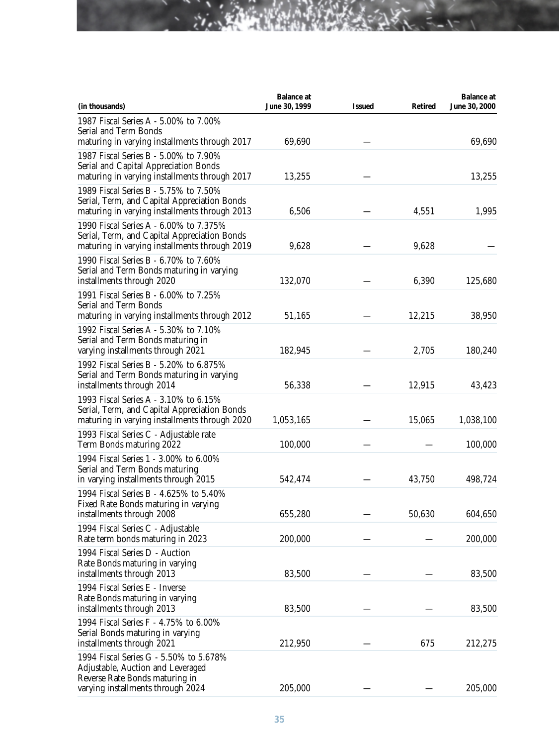| (in thousands)                                                                                                                                     | <b>Balance</b> at<br>June 30, 1999 | <b>Issued</b> | <b>Retired</b> | <b>Balance at</b><br>June 30, 2000 |
|----------------------------------------------------------------------------------------------------------------------------------------------------|------------------------------------|---------------|----------------|------------------------------------|
| 1987 Fiscal Series A - 5.00% to 7.00%                                                                                                              |                                    |               |                |                                    |
| <b>Serial and Term Bonds</b><br>maturing in varying installments through 2017                                                                      | 69,690                             |               |                | 69,690                             |
| 1987 Fiscal Series B - 5.00% to 7.90%<br>Serial and Capital Appreciation Bonds<br>maturing in varying installments through 2017                    | 13,255                             |               |                | 13,255                             |
| 1989 Fiscal Series B - 5.75% to 7.50%<br>Serial, Term, and Capital Appreciation Bonds<br>maturing in varying installments through 2013             | 6,506                              |               | 4,551          | 1,995                              |
| 1990 Fiscal Series A - 6.00% to 7.375%<br>Serial, Term, and Capital Appreciation Bonds<br>maturing in varying installments through 2019            | 9,628                              |               | 9,628          |                                    |
| 1990 Fiscal Series B - 6.70% to 7.60%<br>Serial and Term Bonds maturing in varying<br>installments through 2020                                    | 132,070                            |               | 6,390          | 125,680                            |
| 1991 Fiscal Series B - 6.00% to 7.25%<br><b>Serial and Term Bonds</b><br>maturing in varying installments through 2012                             | 51,165                             |               | 12,215         | 38,950                             |
| 1992 Fiscal Series A - 5.30% to 7.10%<br>Serial and Term Bonds maturing in<br>varying installments through 2021                                    | 182,945                            |               | 2,705          | 180,240                            |
| 1992 Fiscal Series B - 5.20% to 6.875%<br>Serial and Term Bonds maturing in varying<br>installments through 2014                                   | 56,338                             |               | 12,915         | 43,423                             |
| 1993 Fiscal Series A - 3.10% to 6.15%<br>Serial, Term, and Capital Appreciation Bonds<br>maturing in varying installments through 2020             | 1,053,165                          |               | 15,065         | 1,038,100                          |
| 1993 Fiscal Series C - Adjustable rate<br>Term Bonds maturing 2022                                                                                 | 100,000                            |               |                | 100,000                            |
| 1994 Fiscal Series 1 - 3.00% to 6.00%<br>Serial and Term Bonds maturing<br>in varying installments through 2015                                    | 542,474                            |               | 43,750         | 498,724                            |
| 1994 Fiscal Series B - 4.625% to 5.40%<br>Fixed Rate Bonds maturing in varying<br>installments through 2008                                        | 655,280                            |               | 50,630         | 604,650                            |
| 1994 Fiscal Series C - Adjustable<br>Rate term bonds maturing in 2023                                                                              | 200,000                            |               |                | 200,000                            |
| 1994 Fiscal Series D - Auction<br>Rate Bonds maturing in varying<br>installments through 2013                                                      | 83,500                             |               |                | 83,500                             |
| 1994 Fiscal Series E - Inverse<br>Rate Bonds maturing in varying<br>installments through 2013                                                      | 83,500                             |               |                | 83,500                             |
| 1994 Fiscal Series F - 4.75% to 6.00%<br>Serial Bonds maturing in varying<br>installments through 2021                                             | 212,950                            |               | 675            | 212,275                            |
| 1994 Fiscal Series G - 5.50% to 5.678%<br>Adjustable, Auction and Leveraged<br>Reverse Rate Bonds maturing in<br>varying installments through 2024 | 205,000                            |               |                | 205,000                            |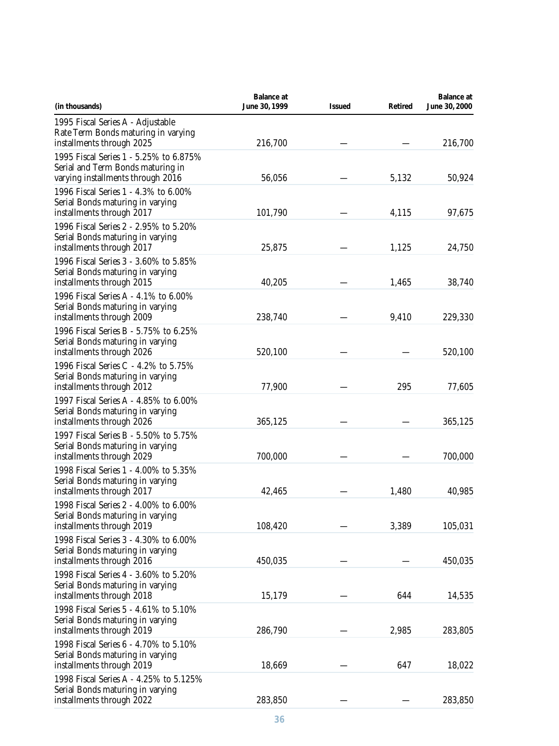| (in thousands)                                                                                                   | <b>Balance at</b><br>June 30, 1999 | <b>Issued</b> | <b>Retired</b> | <b>Balance</b> at<br>June 30, 2000 |
|------------------------------------------------------------------------------------------------------------------|------------------------------------|---------------|----------------|------------------------------------|
| 1995 Fiscal Series A - Adjustable<br>Rate Term Bonds maturing in varying<br>installments through 2025            | 216,700                            |               |                | 216,700                            |
| 1995 Fiscal Series 1 - 5.25% to 6.875%<br>Serial and Term Bonds maturing in<br>varying installments through 2016 | 56,056                             |               | 5,132          | 50,924                             |
| 1996 Fiscal Series 1 - 4.3% to 6.00%<br>Serial Bonds maturing in varying<br>installments through 2017            | 101,790                            |               | 4,115          | 97,675                             |
| 1996 Fiscal Series 2 - 2.95% to 5.20%<br>Serial Bonds maturing in varying<br>installments through 2017           | 25,875                             |               | 1,125          | 24,750                             |
| 1996 Fiscal Series 3 - 3.60% to 5.85%<br>Serial Bonds maturing in varying<br>installments through 2015           | 40,205                             |               | 1,465          | 38,740                             |
| 1996 Fiscal Series A - 4.1% to 6.00%<br>Serial Bonds maturing in varying<br>installments through 2009            | 238,740                            |               | 9,410          | 229,330                            |
| 1996 Fiscal Series B - 5.75% to 6.25%<br>Serial Bonds maturing in varying<br>installments through 2026           | 520,100                            |               |                | 520,100                            |
| 1996 Fiscal Series C - 4.2% to 5.75%<br>Serial Bonds maturing in varying<br>installments through 2012            | 77,900                             |               | 295            | 77,605                             |
| 1997 Fiscal Series A - 4.85% to 6.00%<br>Serial Bonds maturing in varying<br>installments through 2026           | 365,125                            |               |                | 365,125                            |
| 1997 Fiscal Series B - 5.50% to 5.75%<br>Serial Bonds maturing in varying<br>installments through 2029           | 700,000                            |               |                | 700,000                            |
| 1998 Fiscal Series 1 - 4.00% to 5.35%<br>Serial Bonds maturing in varying<br>installments through 2017           | 42,465                             |               | 1,480          | 40,985                             |
| 1998 Fiscal Series 2 - 4.00% to 6.00%<br>Serial Bonds maturing in varying<br>installments through 2019           | 108,420                            |               | 3,389          | 105,031                            |
| 1998 Fiscal Series 3 - 4.30% to 6.00%<br>Serial Bonds maturing in varying<br>installments through 2016           | 450,035                            |               |                | 450,035                            |
| 1998 Fiscal Series 4 - 3.60% to 5.20%<br>Serial Bonds maturing in varying<br>installments through 2018           | 15,179                             |               | 644            | 14,535                             |
| 1998 Fiscal Series 5 - 4.61% to 5.10%<br>Serial Bonds maturing in varying<br>installments through 2019           | 286,790                            |               | 2,985          | 283,805                            |
| 1998 Fiscal Series 6 - 4.70% to 5.10%<br>Serial Bonds maturing in varying<br>installments through 2019           | 18,669                             |               | 647            | 18,022                             |
| 1998 Fiscal Series A - 4.25% to 5.125%<br>Serial Bonds maturing in varying<br>installments through 2022          | 283,850                            |               |                | 283,850                            |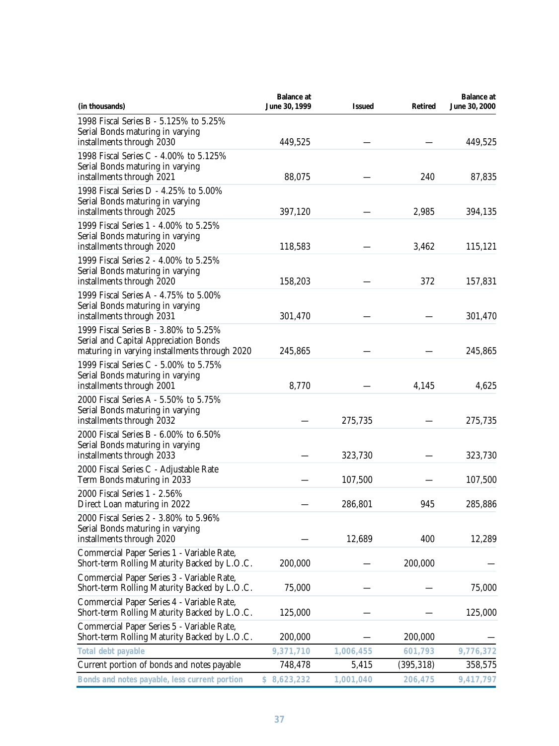| (in thousands)                                                                                                                  | <b>Balance at</b><br>June 30, 1999 | <b>Issued</b> | <b>Retired</b> | <b>Balance at</b><br>June 30, 2000 |
|---------------------------------------------------------------------------------------------------------------------------------|------------------------------------|---------------|----------------|------------------------------------|
| 1998 Fiscal Series B - 5.125% to 5.25%<br>Serial Bonds maturing in varying<br>installments through 2030                         | 449,525                            |               |                | 449,525                            |
| 1998 Fiscal Series C - 4.00% to 5.125%<br>Serial Bonds maturing in varying<br>installments through 2021                         | 88,075                             |               | 240            | 87,835                             |
| 1998 Fiscal Series D - 4.25% to 5.00%<br>Serial Bonds maturing in varying<br>installments through 2025                          | 397,120                            |               | 2,985          | 394,135                            |
| 1999 Fiscal Series 1 - 4.00% to 5.25%<br>Serial Bonds maturing in varying<br>installments through 2020                          | 118,583                            |               | 3,462          | 115,121                            |
| 1999 Fiscal Series 2 - 4.00% to 5.25%<br>Serial Bonds maturing in varying<br>installments through 2020                          | 158,203                            |               | 372            | 157,831                            |
| 1999 Fiscal Series A - 4.75% to 5.00%<br>Serial Bonds maturing in varying<br>installments through 2031                          | 301,470                            |               |                | 301,470                            |
| 1999 Fiscal Series B - 3.80% to 5.25%<br>Serial and Capital Appreciation Bonds<br>maturing in varying installments through 2020 | 245,865                            |               |                | 245,865                            |
| 1999 Fiscal Series C - 5.00% to 5.75%<br>Serial Bonds maturing in varying<br>installments through 2001                          | 8,770                              |               | 4,145          | 4,625                              |
| 2000 Fiscal Series A - 5.50% to 5.75%<br>Serial Bonds maturing in varying<br>installments through 2032                          |                                    | 275,735       |                | 275,735                            |
| 2000 Fiscal Series B - 6.00% to 6.50%<br>Serial Bonds maturing in varying<br>installments through 2033                          |                                    | 323,730       |                | 323,730                            |
| 2000 Fiscal Series C - Adjustable Rate<br>Term Bonds maturing in 2033                                                           |                                    | 107,500       |                | 107,500                            |
| 2000 Fiscal Series 1 - 2.56%<br>Direct Loan maturing in 2022                                                                    |                                    | 286,801       | 945            | 285,886                            |
| 2000 Fiscal Series 2 - 3.80% to 5.96%<br>Serial Bonds maturing in varying<br>installments through 2020                          |                                    | 12,689        | 400            | 12,289                             |
| Commercial Paper Series 1 - Variable Rate,<br>Short-term Rolling Maturity Backed by L.O.C.                                      | 200,000                            |               | 200,000        |                                    |
| Commercial Paper Series 3 - Variable Rate,<br>Short-term Rolling Maturity Backed by L.O.C.                                      | 75,000                             |               |                | 75,000                             |
| Commercial Paper Series 4 - Variable Rate,<br>Short-term Rolling Maturity Backed by L.O.C.                                      | 125,000                            |               |                | 125,000                            |
| Commercial Paper Series 5 - Variable Rate,<br>Short-term Rolling Maturity Backed by L.O.C.                                      | 200,000                            |               | 200,000        |                                    |
| Total debt payable                                                                                                              | 9,371,710                          | 1,006,455     | 601,793        | 9,776,372                          |
| Current portion of bonds and notes payable                                                                                      | 748,478                            | 5,415         | (395, 318)     | 358,575                            |
| Bonds and notes payable, less current portion                                                                                   | \$8,623,232                        | 1,001,040     | 206,475        | 9,417,797                          |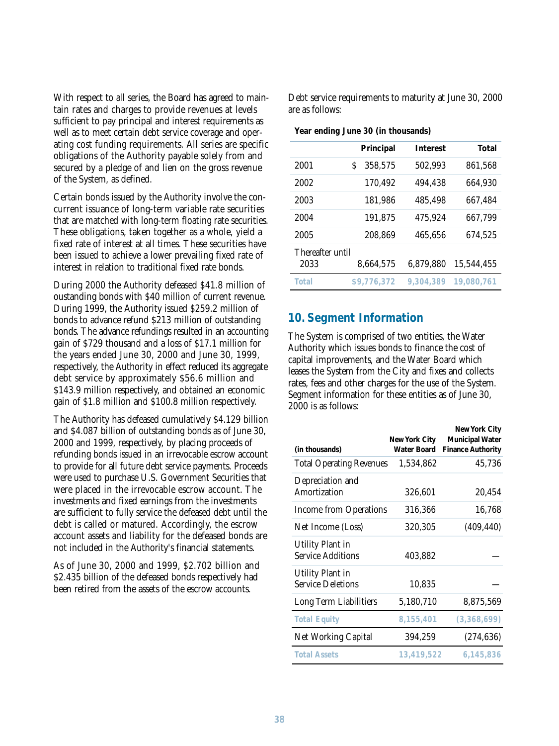With respect to all series, the Board has agreed to maintain rates and charges to provide revenues at levels sufficient to pay principal and interest requirements as well as to meet certain debt service coverage and operating cost funding requirements. All series are specific obligations of the Authority payable solely from and secured by a pledge of and lien on the gross revenue of the System, as defined.

Certain bonds issued by the Authority involve the concurrent issuance of long-term variable rate securities that are matched with long-term floating rate securities. These obligations, taken together as a whole, yield a fixed rate of interest at all times. These securities have been issued to achieve a lower prevailing fixed rate of interest in relation to traditional fixed rate bonds.

During 2000 the Authority defeased \$41.8 million of oustanding bonds with \$40 million of current revenue. During 1999, the Authority issued \$259.2 million of bonds to advance refund \$213 million of outstanding bonds. The advance refundings resulted in an accounting gain of \$729 thousand and a loss of \$17.1 million for the years ended June 30, 2000 and June 30, 1999, respectively, the Authority in effect reduced its aggregate debt service by approximately \$56.6 million and \$143.9 million respectively, and obtained an economic gain of \$1.8 million and \$100.8 million respectively.

The Authority has defeased cumulatively \$4.129 billion and \$4.087 billion of outstanding bonds as of June 30, 2000 and 1999, respectively, by placing proceeds of refunding bonds issued in an irrevocable escrow account to provide for all future debt service payments. Proceeds were used to purchase U.S. Government Securities that were placed in the irrevocable escrow account. The investments and fixed earnings from the investments are sufficient to fully service the defeased debt until the debt is called or matured. Accordingly, the escrow account assets and liability for the defeased bonds are not included in the Authority's financial statements.

As of June 30, 2000 and 1999, \$2.702 billion and \$2.435 billion of the defeased bonds respectively had been retired from the assets of the escrow accounts.

Debt service requirements to maturity at June 30, 2000 are as follows:

**Year ending June 30 (in thousands)**

|                          | Principal    | <b>Interest</b> | Total      |
|--------------------------|--------------|-----------------|------------|
| 2001                     | 358,575<br>S | 502,993         | 861,568    |
| 2002                     | 170,492      | 494,438         | 664,930    |
| 2003                     | 181,986      | 485,498         | 667,484    |
| 2004                     | 191,875      | 475,924         | 667,799    |
| 2005                     | 208,869      | 465,656         | 674,525    |
| Thereafter until<br>2033 | 8,664,575    | 6,879,880       | 15,544,455 |
| Total                    | \$9,776,372  | 9.304.389       | 19,080,761 |

## **10. Segment Information**

The System is comprised of two entities, the Water Authority which issues bonds to finance the cost of capital improvements, and the Water Board which leases the System from the City and fixes and collects rates, fees and other charges for the use of the System. Segment information for these entities as of June 30, 2000 is as follows:

|                                 |                                     | New York City                                      |
|---------------------------------|-------------------------------------|----------------------------------------------------|
| (in thousands)                  | New York City<br><b>Water Board</b> | <b>Municipal Water</b><br><b>Finance Authority</b> |
| <b>Total Operating Revenues</b> | 1,534,862                           | 45,736                                             |
| Depreciation and                |                                     |                                                    |
| Amortization                    | 326,601                             | 20,454                                             |
| <b>Income from Operations</b>   | 316,366                             | 16,768                                             |
| Net Income (Loss)               | 320,305                             | (409, 440)                                         |
| <b>Utility Plant in</b>         |                                     |                                                    |
| <b>Service Additions</b>        | 403,882                             |                                                    |
| <b>Utility Plant in</b>         |                                     |                                                    |
| <b>Service Deletions</b>        | 10,835                              |                                                    |
| Long Term Liabilitiers          | 5,180,710                           | 8,875,569                                          |
| <b>Total Equity</b>             | 8,155,401                           | (3,368,699)                                        |
| Net Working Capital             | 394,259                             | (274, 636)                                         |
| <b>Total Assets</b>             | 13,419,522                          | 6.145.836                                          |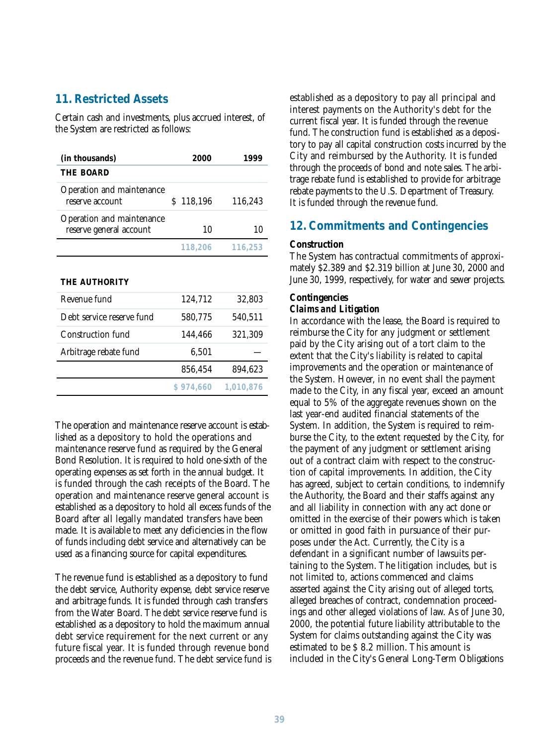# **11. Restricted Assets**

Certain cash and investments, plus accrued interest, of the System are restricted as follows:

| (in thousands)                                       | 2000      | 1999    |
|------------------------------------------------------|-----------|---------|
| <b>THE BOARD</b>                                     |           |         |
| Operation and maintenance<br>reserve account         | \$118,196 | 116,243 |
| Operation and maintenance<br>reserve general account | 10        | 10      |
|                                                      | 118.206   | 116,253 |

**THE AUTHORITY**

|                           | \$974,660 | 1,010,876 |
|---------------------------|-----------|-----------|
|                           | 856,454   | 894,623   |
| Arbitrage rebate fund     | 6,501     |           |
| Construction fund         | 144,466   | 321,309   |
| Debt service reserve fund | 580,775   | 540,511   |
| Revenue fund              | 124,712   | 32,803    |

The operation and maintenance reserve account is established as a depository to hold the operations and maintenance reserve fund as required by the General Bond Resolution. It is required to hold one-sixth of the operating expenses as set forth in the annual budget. It is funded through the cash receipts of the Board. The operation and maintenance reserve general account is established as a depository to hold all excess funds of the Board after all legally mandated transfers have been made. It is available to meet any deficiencies in the flow of funds including debt service and alternatively can be used as a financing source for capital expenditures.

The revenue fund is established as a depository to fund the debt service, Authority expense, debt service reserve and arbitrage funds. It is funded through cash transfers from the Water Board. The debt service reserve fund is established as a depository to hold the maximum annual debt service requirement for the next current or any future fiscal year. It is funded through revenue bond proceeds and the revenue fund. The debt service fund is established as a depository to pay all principal and interest payments on the Authority's debt for the current fiscal year. It is funded through the revenue fund. The construction fund is established as a depository to pay all capital construction costs incurred by the City and reimbursed by the Authority. It is funded through the proceeds of bond and note sales. The arbitrage rebate fund is established to provide for arbitrage rebate payments to the U.S. Department of Treasury. It is funded through the revenue fund.

# **12. Commitments and Contingencies**

### **Construction**

The System has contractual commitments of approximately \$2.389 and \$2.319 billion at June 30, 2000 and June 30, 1999, respectively, for water and sewer projects.

# **Contingencies**

## *Claims and Litigation*

In accordance with the lease, the Board is required to reimburse the City for any judgment or settlement paid by the City arising out of a tort claim to the extent that the City's liability is related to capital improvements and the operation or maintenance of the System. However, in no event shall the payment made to the City, in any fiscal year, exceed an amount equal to 5% of the aggregate revenues shown on the last year-end audited financial statements of the System. In addition, the System is required to reimburse the City, to the extent requested by the City, for the payment of any judgment or settlement arising out of a contract claim with respect to the construction of capital improvements. In addition, the City has agreed, subject to certain conditions, to indemnify the Authority, the Board and their staffs against any and all liability in connection with any act done or omitted in the exercise of their powers which is taken or omitted in good faith in pursuance of their purposes under the Act. Currently, the City is a defendant in a significant number of lawsuits pertaining to the System. The litigation includes, but is not limited to, actions commenced and claims asserted against the City arising out of alleged torts, alleged breaches of contract, condemnation proceedings and other alleged violations of law. As of June 30, 2000, the potential future liability attributable to the System for claims outstanding against the City was estimated to be \$ 8.2 million. This amount is included in the City's General Long-Term Obligations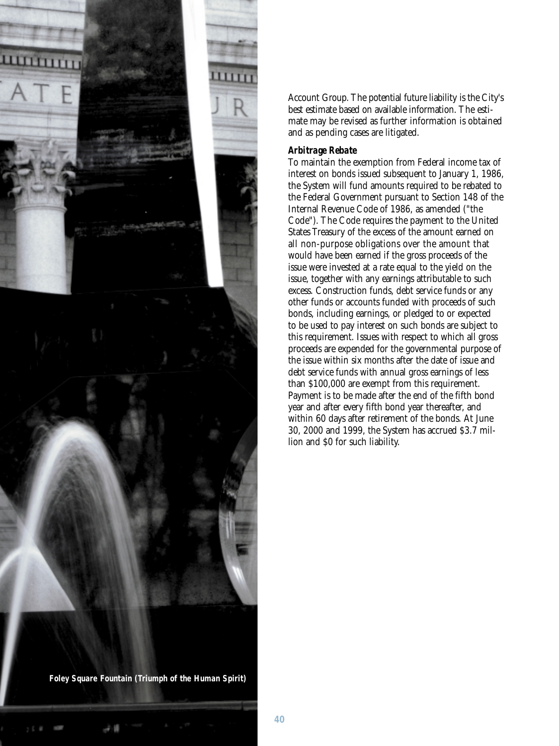

Account Group. The potential future liability is the City's best estimate based on available information. The estimate may be revised as further information is obtained and as pending cases are litigated.

## *Arbitrage Rebate*

To maintain the exemption from Federal income tax of interest on bonds issued subsequent to January 1, 1986, the System will fund amounts required to be rebated to the Federal Government pursuant to Section 148 of the Internal Revenue Code of 1986, as amended ("the Code"). The Code requires the payment to the United States Treasury of the excess of the amount earned on all non-purpose obligations over the amount that would have been earned if the gross proceeds of the issue were invested at a rate equal to the yield on the issue, together with any earnings attributable to such excess. Construction funds, debt service funds or any other funds or accounts funded with proceeds of such bonds, including earnings, or pledged to or expected to be used to pay interest on such bonds are subject to this requirement. Issues with respect to which all gross proceeds are expended for the governmental purpose of the issue within six months after the date of issue and debt service funds with annual gross earnings of less than \$100,000 are exempt from this requirement. Payment is to be made after the end of the fifth bond year and after every fifth bond year thereafter, and within 60 days after retirement of the bonds. At June 30, 2000 and 1999, the System has accrued \$3.7 million and \$0 for such liability.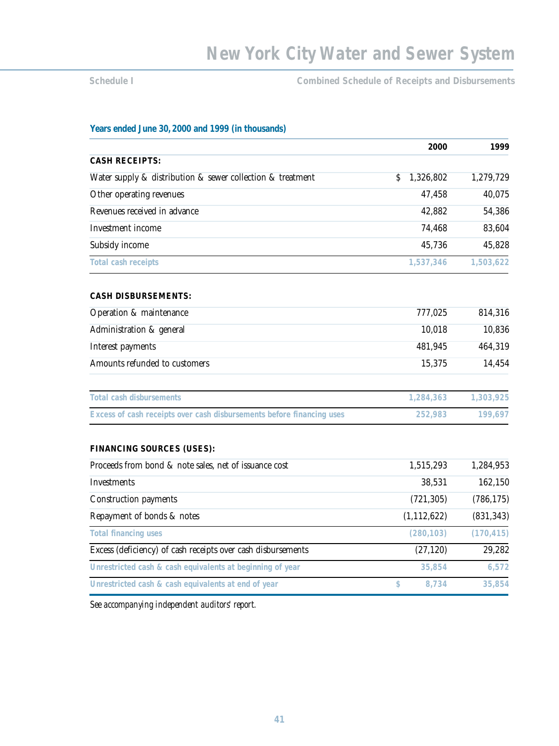**Schedule I Combined Schedule of Receipts and Disbursements** 

### **Years ended June 30, 2000 and 1999 (in thousands)**

|                                                                       | 2000            | 1999       |
|-----------------------------------------------------------------------|-----------------|------------|
| <b>CASH RECEIPTS:</b>                                                 |                 |            |
| Water supply & distribution & sewer collection & treatment            | 1,326,802<br>\$ | 1,279,729  |
| Other operating revenues                                              | 47,458          | 40,075     |
| Revenues received in advance                                          | 42,882          | 54,386     |
| Investment income                                                     | 74,468          | 83,604     |
| Subsidy income                                                        | 45,736          | 45,828     |
| <b>Total cash receipts</b>                                            | 1,537,346       | 1,503,622  |
| <b>CASH DISBURSEMENTS:</b>                                            |                 |            |
| Operation & maintenance                                               | 777,025         | 814,316    |
| Administration & general                                              | 10,018          | 10,836     |
| Interest payments                                                     | 481,945         | 464,319    |
| Amounts refunded to customers                                         | 15,375          | 14,454     |
| <b>Total cash disbursements</b>                                       | 1,284,363       | 1,303,925  |
| Excess of cash receipts over cash disbursements before financing uses | 252,983         | 199,697    |
| <b>FINANCING SOURCES (USES):</b>                                      |                 |            |
| Proceeds from bond & note sales, net of issuance cost                 | 1,515,293       | 1,284,953  |
| Investments                                                           | 38,531          | 162,150    |
| <b>Construction payments</b>                                          | (721, 305)      | (786, 175) |
| Repayment of bonds & notes                                            | (1, 112, 622)   | (831, 343) |
| <b>Total financing uses</b>                                           | (280, 103)      | (170, 415) |
| Excess (deficiency) of cash receipts over cash disbursements          | (27, 120)       | 29,282     |
| Unrestricted cash & cash equivalents at beginning of year             | 35,854          | 6,572      |
| Unrestricted cash & cash equivalents at end of year                   | \$<br>8,734     | 35,854     |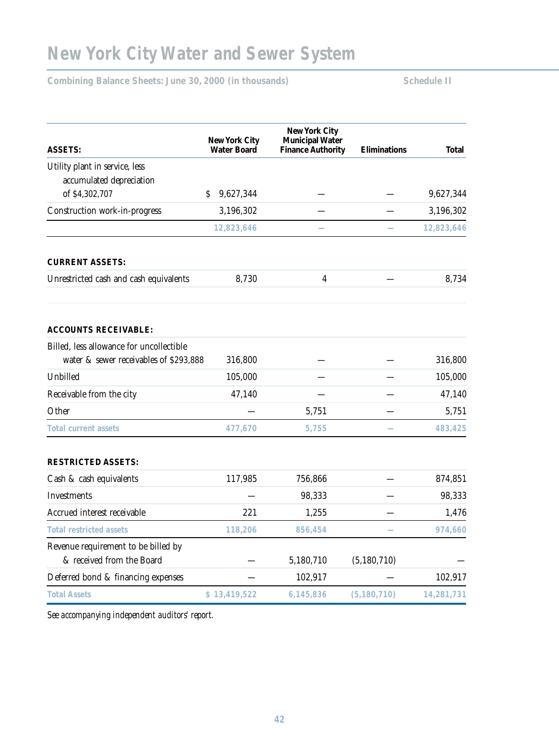# **New York City Water and Sewer System**

Combining Balance Sheets: June 30, 2000 (in thousands) Schedule II

|                                          | <b>Water Board</b> | <b>Finance Authority</b> | Eliminations  | <b>Total</b> |
|------------------------------------------|--------------------|--------------------------|---------------|--------------|
| Utility plant in service, less           |                    |                          |               |              |
| accumulated depreciation                 |                    |                          |               |              |
| of \$4,302,707                           | 9,627,344<br>\$    |                          |               | 9,627,344    |
| Construction work-in-progress            | 3,196,302          |                          |               | 3,196,302    |
|                                          | 12,823,646         |                          |               | 12,823,646   |
| <b>CURRENT ASSETS:</b>                   |                    |                          |               |              |
| Unrestricted cash and cash equivalents   | 8,730              | $\overline{\mathbf{4}}$  |               | 8,734        |
| <b>ACCOUNTS RECEIVABLE:</b>              |                    |                          |               |              |
| Billed, less allowance for uncollectible |                    |                          |               |              |
| water & sewer receivables of \$293,888   | 316,800            |                          |               | 316,800      |
| Unbilled                                 | 105,000            |                          |               | 105,000      |
| Receivable from the city                 | 47,140             |                          |               | 47,140       |
| Other                                    |                    | 5,751                    |               | 5,751        |
| <b>Total current assets</b>              | 477,670            | 5,755                    |               | 483,425      |
| <b>RESTRICTED ASSETS:</b>                |                    |                          |               |              |
| Cash & cash equivalents                  | 117,985            | 756,866                  |               | 874,851      |
| Investments                              |                    | 98,333                   |               | 98,333       |
| Accrued interest receivable              | 221                | 1,255                    |               | 1,476        |
| <b>Total restricted assets</b>           | 118,206            | 856,454                  |               | 974,660      |
| Revenue requirement to be billed by      |                    |                          |               |              |
| & received from the Board                |                    | 5,180,710                | (5,180,710)   |              |
| Deferred bond & financing expenses       |                    | 102,917                  |               | 102,917      |
| <b>Total Assets</b>                      | \$13,419,522       | 6,145,836                | (5, 180, 710) | 14,281,731   |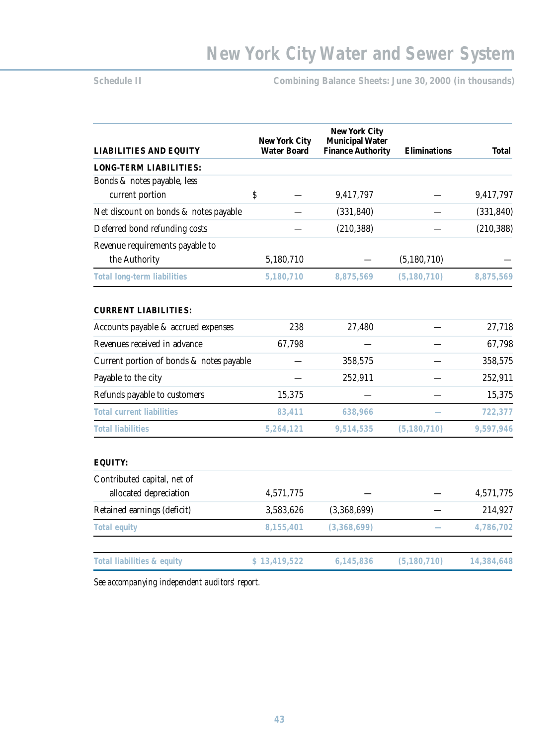**Schedule II Combining Balance Sheets: June 30, 2000 (in thousands)** 

| <b>LIABILITIES AND EQUITY</b>                    | <b>New York City</b><br><b>Water Board</b> | <b>New York City</b><br><b>Municipal Water</b><br><b>Finance Authority</b> | Eliminations  | <b>Total</b> |
|--------------------------------------------------|--------------------------------------------|----------------------------------------------------------------------------|---------------|--------------|
| <b>LONG-TERM LIABILITIES:</b>                    |                                            |                                                                            |               |              |
| Bonds & notes payable, less                      |                                            |                                                                            |               |              |
| current portion                                  | \$                                         | 9,417,797                                                                  |               | 9,417,797    |
| Net discount on bonds & notes payable            |                                            | (331, 840)                                                                 |               | (331, 840)   |
| Deferred bond refunding costs                    |                                            | (210, 388)                                                                 |               | (210, 388)   |
| Revenue requirements payable to<br>the Authority | 5,180,710                                  |                                                                            | (5, 180, 710) |              |
| <b>Total long-term liabilities</b>               | 5,180,710                                  | 8,875,569                                                                  | (5, 180, 710) | 8,875,569    |
| <b>CURRENT LIABILITIES:</b>                      |                                            |                                                                            |               |              |
| Accounts payable & accrued expenses              | 238                                        | 27,480                                                                     |               | 27,718       |
| Revenues received in advance                     | 67,798                                     |                                                                            |               | 67,798       |
| Current portion of bonds & notes payable         |                                            | 358,575                                                                    |               | 358,575      |
| Payable to the city                              |                                            | 252,911                                                                    |               | 252,911      |
| Refunds payable to customers                     | 15,375                                     |                                                                            |               | 15,375       |
| <b>Total current liabilities</b>                 | 83,411                                     | 638,966                                                                    |               | 722,377      |
| <b>Total liabilities</b>                         | 5,264,121                                  | 9,514,535                                                                  | (5, 180, 710) | 9,597,946    |
| EQUITY:                                          |                                            |                                                                            |               |              |
| Contributed capital, net of                      |                                            |                                                                            |               |              |
| allocated depreciation                           | 4,571,775                                  |                                                                            |               | 4,571,775    |
| Retained earnings (deficit)                      | 3,583,626                                  | (3,368,699)                                                                |               | 214,927      |
| <b>Total equity</b>                              | 8,155,401                                  | (3,368,699)                                                                |               | 4,786,702    |
| Total liabilities & equity                       | \$13,419,522                               | 6,145,836                                                                  | (5, 180, 710) | 14,384,648   |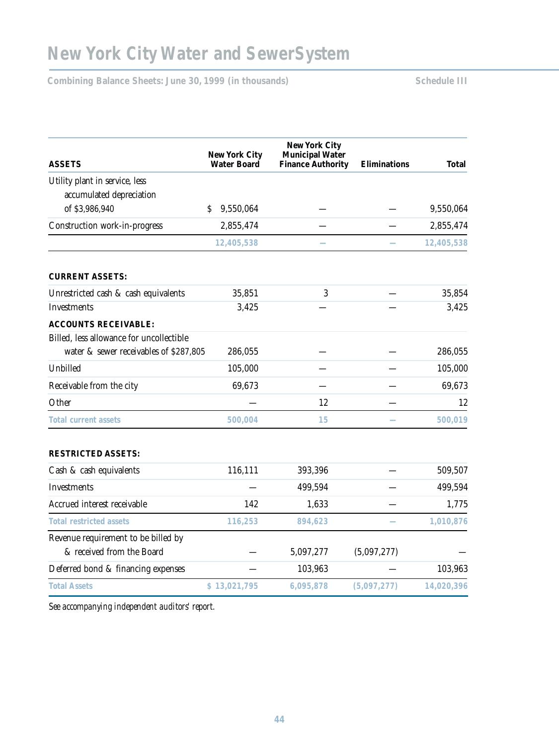Combining Balance Sheets: June 30, 1999 (in thousands) Schedule III

| <b>ASSETS</b>                            | <b>New York City</b><br><b>Water Board</b> | <b>New York City</b><br><b>Municipal Water</b><br><b>Finance Authority</b> | <b>Eliminations</b> | Total      |
|------------------------------------------|--------------------------------------------|----------------------------------------------------------------------------|---------------------|------------|
| Utility plant in service, less           |                                            |                                                                            |                     |            |
| accumulated depreciation                 |                                            |                                                                            |                     |            |
| of \$3,986,940                           | 9,550,064<br>\$                            |                                                                            |                     | 9,550,064  |
| Construction work-in-progress            | 2,855,474                                  |                                                                            |                     | 2,855,474  |
|                                          | 12,405,538                                 |                                                                            |                     | 12,405,538 |
| <b>CURRENT ASSETS:</b>                   |                                            |                                                                            |                     |            |
| Unrestricted cash & cash equivalents     | 35,851                                     | 3                                                                          |                     | 35,854     |
| Investments                              | 3,425                                      |                                                                            |                     | 3,425      |
| <b>ACCOUNTS RECEIVABLE:</b>              |                                            |                                                                            |                     |            |
| Billed, less allowance for uncollectible |                                            |                                                                            |                     |            |
| water & sewer receivables of \$287,805   | 286,055                                    |                                                                            |                     | 286,055    |
| Unbilled                                 | 105,000                                    |                                                                            |                     | 105,000    |
| Receivable from the city                 | 69,673                                     |                                                                            |                     | 69,673     |
| Other                                    |                                            | 12                                                                         |                     | 12         |
| <b>Total current assets</b>              | 500,004                                    | 15                                                                         |                     | 500,019    |
| <b>RESTRICTED ASSETS:</b>                |                                            |                                                                            |                     |            |
| Cash & cash equivalents                  | 116,111                                    | 393,396                                                                    |                     | 509,507    |
| Investments                              |                                            | 499,594                                                                    |                     | 499,594    |
| Accrued interest receivable              | 142                                        | 1,633                                                                      |                     | 1,775      |
| <b>Total restricted assets</b>           | 116,253                                    | 894,623                                                                    |                     | 1,010,876  |
| Revenue requirement to be billed by      |                                            |                                                                            |                     |            |
| & received from the Board                |                                            | 5,097,277                                                                  | (5,097,277)         |            |
| Deferred bond & financing expenses       |                                            | 103,963                                                                    |                     | 103,963    |
| <b>Total Assets</b>                      | \$13,021,795                               | 6,095,878                                                                  | (5,097,277)         | 14,020,396 |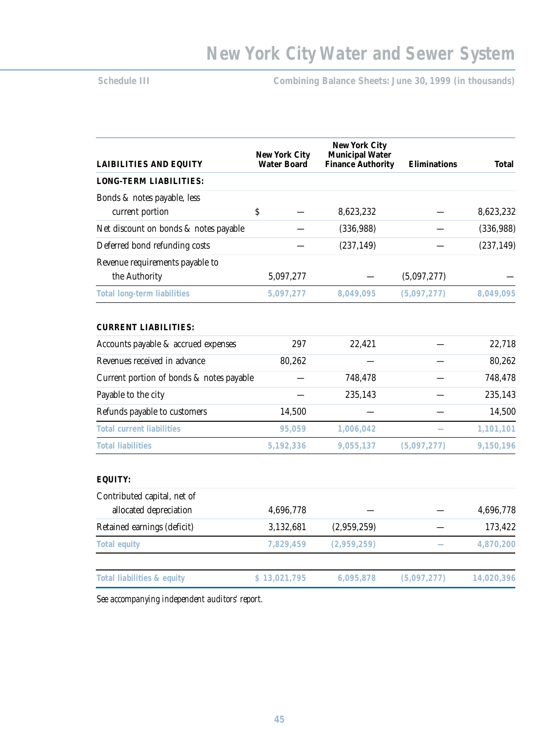# **Schedule III Combining Balance Sheets: June 30, 1999 (in thousands)**

| <b>LAIBILITIES AND EQUITY</b>            | <b>New York City</b><br><b>Water Board</b> | <b>New York City</b><br><b>Municipal Water</b><br><b>Finance Authority</b> | Eliminations | <b>Total</b> |
|------------------------------------------|--------------------------------------------|----------------------------------------------------------------------------|--------------|--------------|
| <b>LONG-TERM LIABILITIES:</b>            |                                            |                                                                            |              |              |
| Bonds & notes payable, less              |                                            |                                                                            |              |              |
| current portion                          | \$                                         | 8,623,232                                                                  |              | 8,623,232    |
| Net discount on bonds & notes payable    |                                            | (336, 988)                                                                 |              | (336, 988)   |
| Deferred bond refunding costs            |                                            | (237, 149)                                                                 |              | (237, 149)   |
| Revenue requirements payable to          |                                            |                                                                            |              |              |
| the Authority                            | 5,097,277                                  |                                                                            | (5,097,277)  |              |
| <b>Total long-term liabilities</b>       | 5,097,277                                  | 8,049,095                                                                  | (5,097,277)  | 8,049,095    |
| <b>CURRENT LIABILITIES:</b>              |                                            |                                                                            |              |              |
| Accounts payable & accrued expenses      | 297                                        | 22,421                                                                     |              | 22,718       |
| Revenues received in advance             | 80,262                                     |                                                                            |              | 80,262       |
| Current portion of bonds & notes payable |                                            | 748,478                                                                    |              | 748,478      |
| Payable to the city                      |                                            | 235,143                                                                    |              | 235,143      |
| Refunds payable to customers             | 14,500                                     |                                                                            |              | 14,500       |
| <b>Total current liabilities</b>         | 95,059                                     | 1,006,042                                                                  |              | 1,101,101    |
| <b>Total liabilities</b>                 | 5,192,336                                  | 9,055,137                                                                  | (5,097,277)  | 9,150,196    |
| <b>EQUITY:</b>                           |                                            |                                                                            |              |              |
| Contributed capital, net of              |                                            |                                                                            |              |              |
| allocated depreciation                   | 4,696,778                                  |                                                                            |              | 4,696,778    |
| Retained earnings (deficit)              | 3,132,681                                  | (2,959,259)                                                                |              | 173,422      |
| <b>Total equity</b>                      | 7,829,459                                  | (2,959,259)                                                                |              | 4,870,200    |
| Total liabilities & equity               | \$13,021,795                               | 6,095,878                                                                  | (5,097,277)  | 14,020,396   |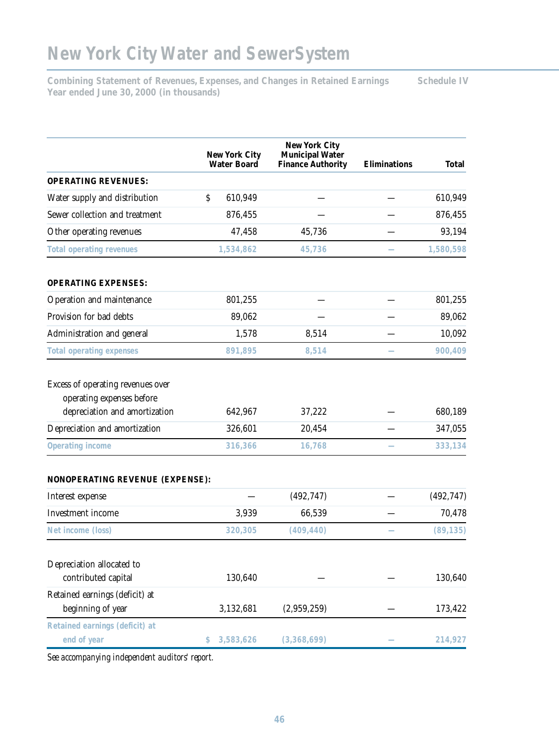# **New York City Water and SewerSystem**

**Combining Statement of Revenues, Expenses, and Changes in Retained Earnings Schedule IV Year ended June 30, 2000 (in thousands)**

|                                                                                                 | <b>New York City</b><br><b>Water Board</b> | <b>New York City</b><br><b>Municipal Water</b><br><b>Finance Authority</b> | <b>Eliminations</b> | <b>Total</b> |
|-------------------------------------------------------------------------------------------------|--------------------------------------------|----------------------------------------------------------------------------|---------------------|--------------|
| <b>OPERATING REVENUES:</b>                                                                      |                                            |                                                                            |                     |              |
| Water supply and distribution<br>\$                                                             | 610,949                                    |                                                                            |                     | 610,949      |
| Sewer collection and treatment                                                                  | 876,455                                    |                                                                            |                     | 876,455      |
| Other operating revenues                                                                        | 47,458                                     | 45,736                                                                     |                     | 93,194       |
| <b>Total operating revenues</b>                                                                 | 1,534,862                                  | 45,736                                                                     |                     | 1,580,598    |
| <b>OPERATING EXPENSES:</b>                                                                      |                                            |                                                                            |                     |              |
| Operation and maintenance                                                                       | 801,255                                    |                                                                            |                     | 801,255      |
| Provision for bad debts                                                                         | 89,062                                     |                                                                            |                     | 89,062       |
| Administration and general                                                                      | 1,578                                      | 8,514                                                                      |                     | 10,092       |
| <b>Total operating expenses</b>                                                                 | 891,895                                    | 8,514                                                                      |                     | 900,409      |
| Excess of operating revenues over<br>operating expenses before<br>depreciation and amortization | 642,967                                    | 37,222                                                                     |                     | 680,189      |
| Depreciation and amortization                                                                   | 326,601                                    | 20,454                                                                     |                     | 347,055      |
| Operating income                                                                                | 316,366                                    | 16,768                                                                     |                     | 333,134      |
| NONOPERATING REVENUE (EXPENSE):                                                                 |                                            |                                                                            |                     |              |
| Interest expense                                                                                |                                            | (492, 747)                                                                 |                     | (492, 747)   |
| Investment income                                                                               | 3,939                                      | 66,539                                                                     |                     | 70,478       |
| Net income (loss)                                                                               | 320,305                                    | (409, 440)                                                                 |                     | (89, 135)    |
| Depreciation allocated to<br>contributed capital                                                | 130,640                                    |                                                                            |                     | 130,640      |
| Retained earnings (deficit) at<br>beginning of year                                             | 3,132,681                                  | (2,959,259)                                                                |                     | 173,422      |
| Retained earnings (deficit) at<br>end of year<br>\$                                             | 3,583,626                                  | (3,368,699)                                                                |                     | 214,927      |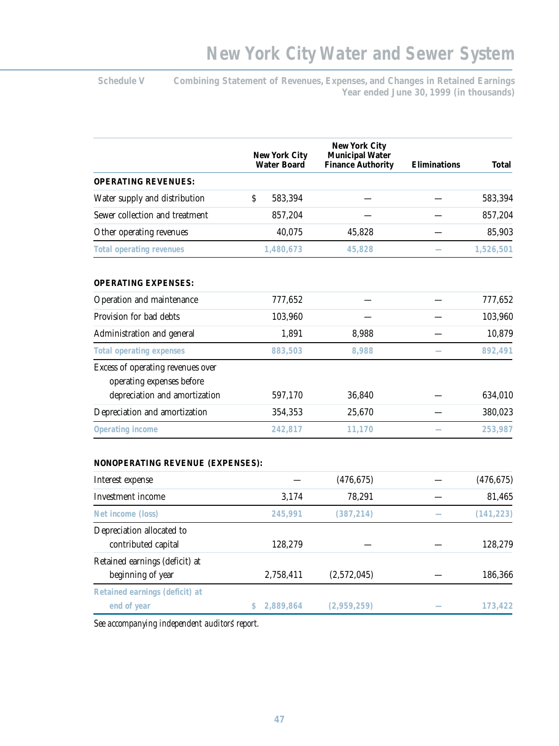Schedule V Combining Statement of Revenues, Expenses, and Changes in Retained Earnings **Year ended June 30, 1999 (in thousands)**

|                                                                | <b>New York City</b><br><b>Water Board</b> | <b>New York City</b><br><b>Municipal Water</b><br><b>Finance Authority</b> | <b>Eliminations</b> | <b>Total</b> |
|----------------------------------------------------------------|--------------------------------------------|----------------------------------------------------------------------------|---------------------|--------------|
| <b>OPERATING REVENUES:</b>                                     |                                            |                                                                            |                     |              |
| Water supply and distribution                                  | \$<br>583,394                              |                                                                            |                     | 583,394      |
| Sewer collection and treatment                                 | 857,204                                    |                                                                            |                     | 857,204      |
| Other operating revenues                                       | 40,075                                     | 45,828                                                                     |                     | 85,903       |
| <b>Total operating revenues</b>                                | 1,480,673                                  | 45,828                                                                     |                     | 1,526,501    |
| <b>OPERATING EXPENSES:</b>                                     |                                            |                                                                            |                     |              |
| Operation and maintenance                                      | 777,652                                    |                                                                            |                     | 777,652      |
| Provision for bad debts                                        | 103,960                                    |                                                                            |                     | 103,960      |
| Administration and general                                     | 1,891                                      | 8,988                                                                      |                     | 10,879       |
| <b>Total operating expenses</b>                                | 883,503                                    | 8,988                                                                      |                     | 892,491      |
| Excess of operating revenues over<br>operating expenses before |                                            |                                                                            |                     |              |
| depreciation and amortization                                  | 597,170                                    | 36,840                                                                     |                     | 634,010      |
| Depreciation and amortization                                  | 354,353                                    | 25,670                                                                     |                     | 380,023      |
| Operating income                                               | 242,817                                    | 11,170                                                                     |                     | 253,987      |
| <b>NONOPERATING REVENUE (EXPENSES):</b>                        |                                            |                                                                            |                     |              |
| Interest expense                                               |                                            | (476, 675)                                                                 |                     | (476, 675)   |
| Investment income                                              | 3,174                                      | 78,291                                                                     |                     | 81,465       |
| Net income (loss)                                              | 245,991                                    | (387, 214)                                                                 |                     | (141, 223)   |
| Depreciation allocated to<br>contributed capital               | 128,279                                    |                                                                            |                     | 128,279      |
| Retained earnings (deficit) at                                 |                                            |                                                                            |                     |              |
| beginning of year                                              | 2,758,411                                  | (2,572,045)                                                                |                     | 186,366      |
| Retained earnings (deficit) at<br>end of year                  | 2,889,864<br>\$.                           | (2,959,259)                                                                |                     | 173,422      |
|                                                                |                                            |                                                                            |                     |              |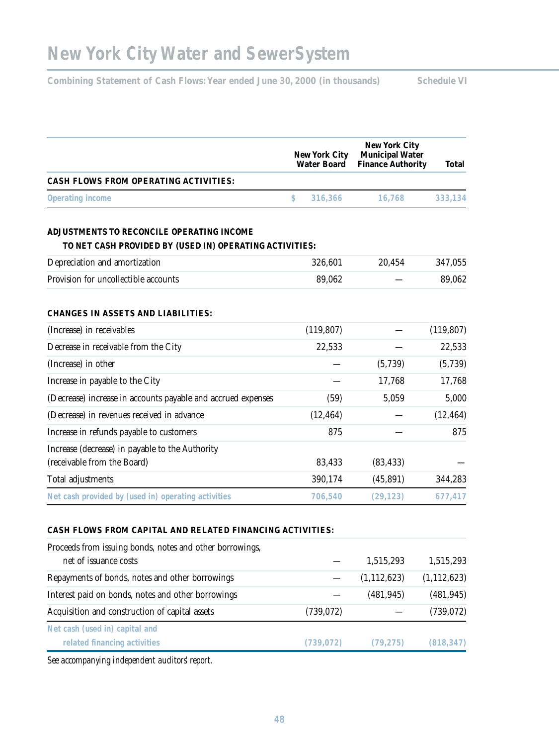Combining Statement of Cash Flows: Year ended June 30, 2000 (in thousands) Schedule VI

| New York City<br><b>Water Board</b>                                                                  |               | <b>New York City</b><br><b>Municipal Water</b><br><b>Finance Authority</b> | Total      |  |
|------------------------------------------------------------------------------------------------------|---------------|----------------------------------------------------------------------------|------------|--|
| <b>CASH FLOWS FROM OPERATING ACTIVITIES:</b>                                                         |               |                                                                            |            |  |
| Operating income                                                                                     | \$<br>316,366 | 16,768                                                                     | 333,134    |  |
| ADJUSTMENTS TO RECONCILE OPERATING INCOME<br>TO NET CASH PROVIDED BY (USED IN) OPERATING ACTIVITIES: |               |                                                                            |            |  |
| Depreciation and amortization                                                                        | 326,601       | 20,454                                                                     | 347,055    |  |
| Provision for uncollectible accounts                                                                 | 89,062        |                                                                            | 89,062     |  |
| <b>CHANGES IN ASSETS AND LIABILITIES:</b>                                                            |               |                                                                            |            |  |
| (Increase) in receivables                                                                            | (119, 807)    |                                                                            | (119, 807) |  |
| Decrease in receivable from the City                                                                 | 22,533        |                                                                            | 22,533     |  |
| (Increase) in other                                                                                  |               | (5,739)                                                                    | (5,739)    |  |
| Increase in payable to the City                                                                      |               | 17,768                                                                     | 17,768     |  |
| (Decrease) increase in accounts payable and accrued expenses                                         | (59)          | 5,059                                                                      | 5,000      |  |
| (Decrease) in revenues received in advance                                                           | (12, 464)     |                                                                            | (12, 464)  |  |
| Increase in refunds payable to customers                                                             | 875           |                                                                            | 875        |  |
| Increase (decrease) in payable to the Authority                                                      |               |                                                                            |            |  |
| (receivable from the Board)                                                                          | 83,433        | (83, 433)                                                                  |            |  |
| Total adjustments                                                                                    | 390,174       | (45,891)                                                                   | 344,283    |  |

Net cash provided by (used in) operating activities **706,540** (29,123) 677,417

#### **CASH FLOWS FROM CAPITAL AND RELATED FINANCING ACTIVITIES:**

| Proceeds from issuing bonds, notes and other borrowings, |            |               |               |
|----------------------------------------------------------|------------|---------------|---------------|
| net of issuance costs                                    |            | 1,515,293     | 1,515,293     |
| Repayments of bonds, notes and other borrowings          |            | (1, 112, 623) | (1, 112, 623) |
| Interest paid on bonds, notes and other borrowings       |            | (481, 945)    | (481, 945)    |
| Acquisition and construction of capital assets           | (739, 072) |               | (739, 072)    |
| Net cash (used in) capital and                           |            |               |               |
| related financing activities                             | (739, 072) | (79, 275)     | (818, 347)    |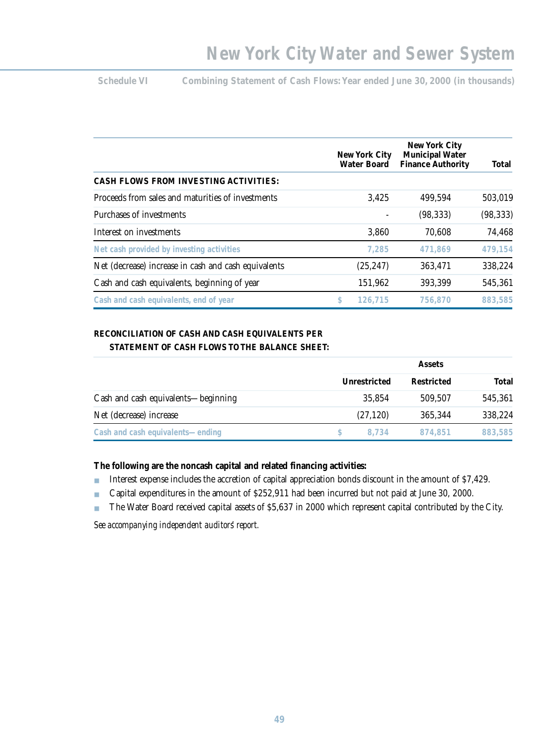Schedule VI Combining Statement of Cash Flows: Year ended June 30, 2000 (in thousands)

|                                                      | New York City<br><b>Water Board</b> | New York City<br><b>Municipal Water</b><br><b>Finance Authority</b> | Total     |
|------------------------------------------------------|-------------------------------------|---------------------------------------------------------------------|-----------|
| <b>CASH FLOWS FROM INVESTING ACTIVITIES:</b>         |                                     |                                                                     |           |
| Proceeds from sales and maturities of investments    | 3,425                               | 499,594                                                             | 503,019   |
| Purchases of investments                             |                                     | (98, 333)                                                           | (98, 333) |
| Interest on investments                              | 3,860                               | 70,608                                                              | 74,468    |
| Net cash provided by investing activities            | 7,285                               | 471.869                                                             | 479,154   |
| Net (decrease) increase in cash and cash equivalents | (25, 247)                           | 363,471                                                             | 338,224   |
| Cash and cash equivalents, beginning of year         | 151,962                             | 393,399                                                             | 545,361   |
| Cash and cash equivalents, end of year               | \$<br>126,715                       | 756,870                                                             | 883,585   |

# **RECONCILIATION OF CASH AND CASH EQUIVALENTS PER**

|                                     | <b>Assets</b> |            |         |
|-------------------------------------|---------------|------------|---------|
|                                     | Unrestricted  | Restricted | Total   |
| Cash and cash equivalents—beginning | 35,854        | 509,507    | 545,361 |
| Net (decrease) increase             | (27, 120)     | 365,344    | 338,224 |
| Cash and cash equivalents—ending    | 8.734         | 874.851    | 883,585 |

## **The following are the noncash capital and related financing activities:**

- Interest expense includes the accretion of capital appreciation bonds discount in the amount of \$7,429.
- Capital expenditures in the amount of \$252,911 had been incurred but not paid at June 30, 2000.
- The Water Board received capital assets of \$5,637 in 2000 which represent capital contributed by the City.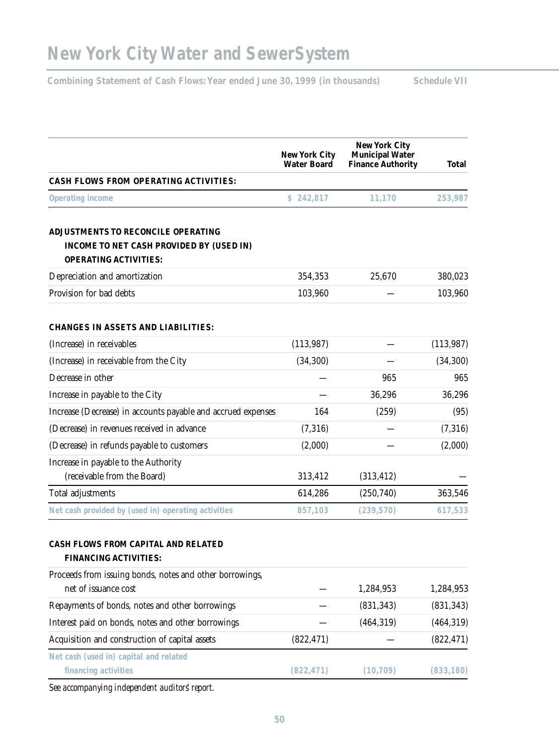Combining Statement of Cash Flows: Year ended June 30, 1999 (in thousands) Schedule VII

|                                                                                                                | <b>New York City</b><br><b>Water Board</b> | New York City<br><b>Municipal Water</b><br><b>Finance Authority</b> | Total      |
|----------------------------------------------------------------------------------------------------------------|--------------------------------------------|---------------------------------------------------------------------|------------|
| <b>CASH FLOWS FROM OPERATING ACTIVITIES:</b>                                                                   |                                            |                                                                     |            |
| Operating income                                                                                               | \$242,817                                  | 11,170                                                              | 253,987    |
| ADJUSTMENTS TO RECONCILE OPERATING<br>INCOME TO NET CASH PROVIDED BY (USED IN)<br><b>OPERATING ACTIVITIES:</b> |                                            |                                                                     |            |
| Depreciation and amortization                                                                                  | 354,353                                    | 25,670                                                              | 380,023    |
| Provision for bad debts                                                                                        | 103,960                                    |                                                                     | 103,960    |
| <b>CHANGES IN ASSETS AND LIABILITIES:</b>                                                                      |                                            |                                                                     |            |
| (Increase) in receivables                                                                                      | (113, 987)                                 |                                                                     | (113, 987) |
| (Increase) in receivable from the City                                                                         | (34, 300)                                  |                                                                     | (34, 300)  |
| Decrease in other                                                                                              |                                            | 965                                                                 | 965        |
| Increase in payable to the City                                                                                |                                            | 36,296                                                              | 36,296     |
| Increase (Decrease) in accounts payable and accrued expenses                                                   | 164                                        | (259)                                                               | (95)       |
| (Decrease) in revenues received in advance                                                                     | (7,316)                                    |                                                                     | (7,316)    |
| (Decrease) in refunds payable to customers                                                                     | (2,000)                                    |                                                                     | (2,000)    |
| Increase in payable to the Authority<br>(receivable from the Board)                                            | 313,412                                    | (313, 412)                                                          |            |
| Total adjustments                                                                                              | 614,286                                    | (250,740)                                                           | 363,546    |
| Net cash provided by (used in) operating activities                                                            | 857,103                                    | (239, 570)                                                          | 617,533    |
| CASH FLOWS FROM CAPITAL AND RELATED<br><b>FINANCING ACTIVITIES:</b>                                            |                                            |                                                                     |            |
| Proceeds from issuing bonds, notes and other borrowings,<br>net of issuance cost                               |                                            | 1,284,953                                                           | 1,284,953  |
| Repayments of bonds, notes and other borrowings                                                                |                                            | (831, 343)                                                          | (831, 343) |
| Interest paid on bonds, notes and other borrowings                                                             |                                            | (464, 319)                                                          | (464, 319) |
| Acquisition and construction of capital assets                                                                 | (822, 471)                                 |                                                                     | (822, 471) |
| Net cash (used in) capital and related<br>financing activities                                                 | (822, 471)                                 | (10, 709)                                                           | (833, 180) |
| assempandas independent auditors report                                                                        |                                            |                                                                     |            |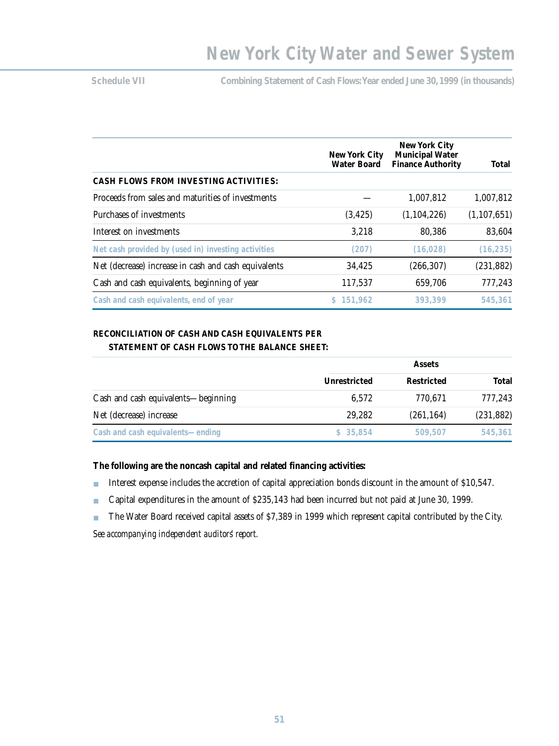**Schedule VII Combining Statement of Cash Flows:Year ended June 30,1999 (in thousands)**

|                                                      | New York City      | <b>New York City</b><br><b>Municipal Water</b> |               |  |
|------------------------------------------------------|--------------------|------------------------------------------------|---------------|--|
|                                                      | <b>Water Board</b> | <b>Finance Authority</b>                       | Total         |  |
| <b>CASH FLOWS FROM INVESTING ACTIVITIES:</b>         |                    |                                                |               |  |
| Proceeds from sales and maturities of investments    |                    | 1,007,812                                      | 1,007,812     |  |
| Purchases of investments                             | (3, 425)           | (1, 104, 226)                                  | (1, 107, 651) |  |
| Interest on investments                              | 3.218              | 80,386                                         | 83,604        |  |
| Net cash provided by (used in) investing activities  | (207)              | (16, 028)                                      | (16, 235)     |  |
| Net (decrease) increase in cash and cash equivalents | 34,425             | (266, 307)                                     | (231, 882)    |  |
| Cash and cash equivalents, beginning of year         | 117,537            | 659,706                                        | 777,243       |  |
| Cash and cash equivalents, end of year               | \$151.962          | 393.399                                        | 545,361       |  |

## **RECONCILIATION OF CASH AND CASH EQUIVALENTS PER STATEMENT OF CASH FLOWS TO THE BALANCE SHEET:**

|                                     |              | <b>Assets</b>     |              |  |
|-------------------------------------|--------------|-------------------|--------------|--|
|                                     | Unrestricted | <b>Restricted</b> | <b>Total</b> |  |
| Cash and cash equivalents—beginning | 6.572        | 770,671           | 777,243      |  |
| Net (decrease) increase             | 29,282       | (261, 164)        | (231, 882)   |  |
| Cash and cash equivalents—ending    | \$35,854     | 509,507           | 545,361      |  |

## **The following are the noncash capital and related financing activities:**

- Interest expense includes the accretion of capital appreciation bonds discount in the amount of \$10,547.
- Capital expenditures in the amount of \$235,143 had been incurred but not paid at June 30, 1999.
- The Water Board received capital assets of \$7,389 in 1999 which represent capital contributed by the City.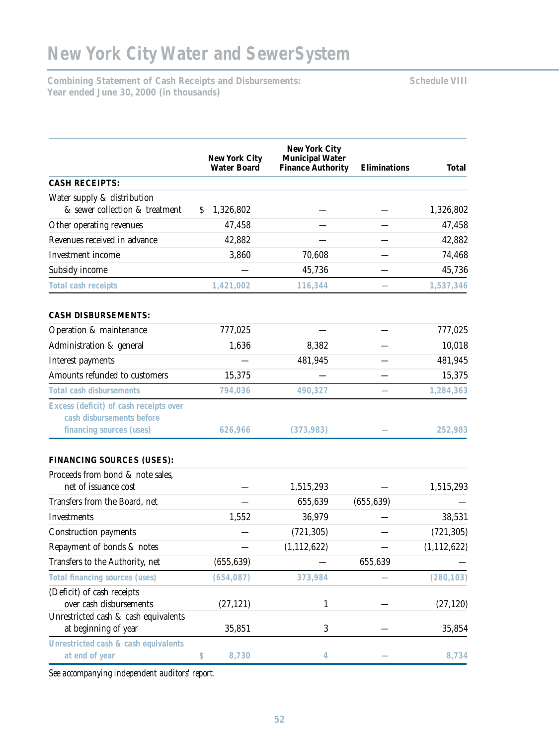**Combining Statement of Cash Receipts and Disbursements: Schedule VIII Year ended June 30, 2000 (in thousands)**

|                                                                     | <b>New York City</b><br><b>Water Board</b> | <b>New York City</b><br><b>Municipal Water</b><br><b>Finance Authority</b> | <b>Eliminations</b> | Total         |
|---------------------------------------------------------------------|--------------------------------------------|----------------------------------------------------------------------------|---------------------|---------------|
| <b>CASH RECEIPTS:</b>                                               |                                            |                                                                            |                     |               |
| Water supply & distribution                                         |                                            |                                                                            |                     |               |
| & sewer collection & treatment                                      | 1,326,802<br>S.                            |                                                                            |                     | 1,326,802     |
| Other operating revenues                                            | 47,458                                     |                                                                            |                     | 47,458        |
| Revenues received in advance                                        | 42,882                                     |                                                                            |                     | 42,882        |
| Investment income                                                   | 3,860                                      | 70,608                                                                     |                     | 74,468        |
| Subsidy income                                                      |                                            | 45,736                                                                     |                     | 45,736        |
| Total cash receipts                                                 | 1,421,002                                  | 116,344                                                                    |                     | 1,537,346     |
| <b>CASH DISBURSEMENTS:</b>                                          |                                            |                                                                            |                     |               |
| Operation & maintenance                                             | 777,025                                    |                                                                            |                     | 777,025       |
| Administration & general                                            | 1,636                                      | 8,382                                                                      |                     | 10,018        |
| Interest payments                                                   |                                            | 481,945                                                                    |                     | 481,945       |
| Amounts refunded to customers                                       | 15,375                                     |                                                                            |                     | 15,375        |
| <b>Total cash disbursements</b>                                     | 794,036                                    | 490,327                                                                    |                     | 1,284,363     |
| Excess (deficit) of cash receipts over<br>cash disbursements before |                                            |                                                                            |                     |               |
| financing sources (uses)                                            | 626,966                                    | (373,983)                                                                  |                     | 252,983       |
| <b>FINANCING SOURCES (USES):</b>                                    |                                            |                                                                            |                     |               |
| Proceeds from bond & note sales,                                    |                                            |                                                                            |                     |               |
| net of issuance cost                                                |                                            | 1,515,293                                                                  |                     | 1,515,293     |
| Transfers from the Board, net                                       |                                            | 655,639                                                                    | (655, 639)          |               |
| Investments                                                         | 1,552                                      | 36,979                                                                     |                     | 38,531        |
| <b>Construction payments</b>                                        |                                            | (721, 305)                                                                 |                     | (721, 305)    |
| Repayment of bonds & notes                                          |                                            | (1, 112, 622)                                                              |                     | (1, 112, 622) |
| Transfers to the Authority, net                                     | (655, 639)                                 |                                                                            | 655,639             |               |
| Total financing sources (uses)                                      | (654, 087)                                 | 373,984                                                                    |                     | (280, 103)    |
| (Deficit) of cash receipts                                          |                                            |                                                                            |                     |               |
| over cash disbursements                                             | (27, 121)                                  | 1                                                                          |                     | (27, 120)     |
| Unrestricted cash & cash equivalents<br>at beginning of year        | 35,851                                     | $\boldsymbol{3}$                                                           |                     | 35,854        |
|                                                                     |                                            |                                                                            |                     |               |
| Unrestricted cash & cash equivalents<br>at end of year              | 8,730<br>\$                                | $\overline{4}$                                                             |                     | 8,734         |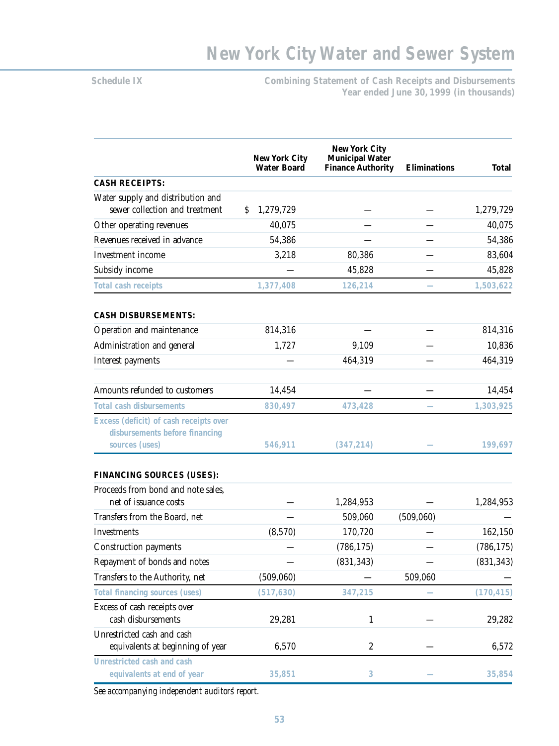Schedule IX **Combining Statement of Cash Receipts and Disbursements Year ended June 30, 1999 (in thousands)**

|                                                                          | <b>New York City</b><br><b>Water Board</b> | <b>New York City</b><br><b>Municipal Water</b><br><b>Finance Authority</b> | <b>Eliminations</b> | <b>Total</b> |
|--------------------------------------------------------------------------|--------------------------------------------|----------------------------------------------------------------------------|---------------------|--------------|
| <b>CASH RECEIPTS:</b>                                                    |                                            |                                                                            |                     |              |
| Water supply and distribution and<br>sewer collection and treatment      | 1,279,729<br>\$                            |                                                                            |                     | 1,279,729    |
| Other operating revenues                                                 | 40,075                                     |                                                                            |                     | 40,075       |
| Revenues received in advance                                             | 54,386                                     |                                                                            |                     | 54,386       |
| Investment income                                                        | 3,218                                      | 80,386                                                                     |                     | 83,604       |
| Subsidy income                                                           |                                            | 45,828                                                                     |                     | 45,828       |
| Total cash receipts                                                      | 1,377,408                                  | 126,214                                                                    |                     | 1,503,622    |
| <b>CASH DISBURSEMENTS:</b>                                               |                                            |                                                                            |                     |              |
| Operation and maintenance                                                | 814,316                                    |                                                                            |                     | 814,316      |
| Administration and general                                               | 1,727                                      | 9,109                                                                      |                     | 10,836       |
| Interest payments                                                        |                                            | 464,319                                                                    |                     | 464,319      |
| Amounts refunded to customers                                            | 14,454                                     |                                                                            |                     | 14,454       |
| <b>Total cash disbursements</b>                                          | 830,497                                    | 473,428                                                                    |                     | 1,303,925    |
| Excess (deficit) of cash receipts over<br>disbursements before financing |                                            |                                                                            |                     |              |
| sources (uses)                                                           | 546,911                                    | (347, 214)                                                                 |                     | 199,697      |
| <b>FINANCING SOURCES (USES):</b>                                         |                                            |                                                                            |                     |              |
| Proceeds from bond and note sales.                                       |                                            |                                                                            |                     |              |
| net of issuance costs                                                    |                                            | 1,284,953                                                                  |                     | 1,284,953    |
| Transfers from the Board, net                                            |                                            | 509,060                                                                    | (509,060)           |              |
| Investments                                                              | (8,570)                                    | 170,720                                                                    |                     | 162,150      |
| <b>Construction payments</b>                                             |                                            | (786, 175)                                                                 |                     | (786, 175)   |
| Repayment of bonds and notes                                             |                                            | (831, 343)                                                                 |                     | (831, 343)   |
| Transfers to the Authority, net                                          | (509,060)                                  |                                                                            | 509,060             |              |
| Total financing sources (uses)                                           | (517, 630)                                 | 347,215                                                                    |                     | (170, 415)   |
| Excess of cash receipts over<br>cash disbursements                       | 29,281                                     | $\mathbf{1}$                                                               |                     | 29,282       |
| Unrestricted cash and cash<br>equivalents at beginning of year           | 6,570                                      | $\boldsymbol{2}$                                                           |                     | 6,572        |
| Unrestricted cash and cash<br>equivalents at end of year                 | 35,851                                     | $\mathbf{3}$                                                               |                     | 35,854       |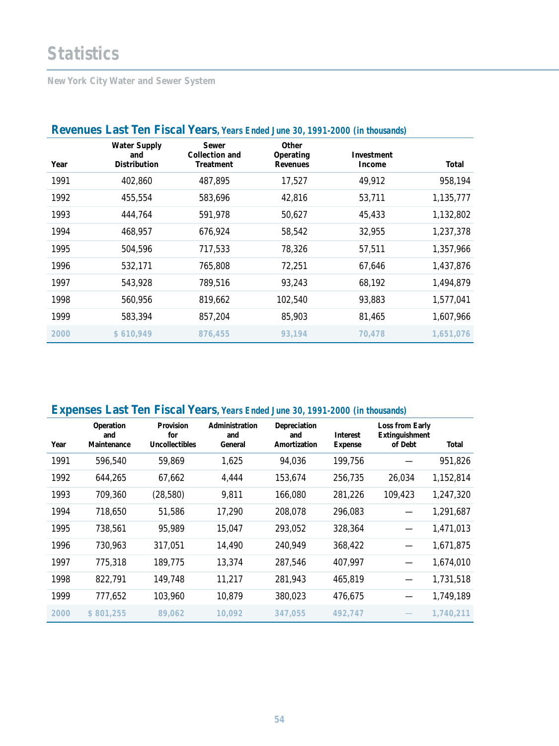# **Statistics**

**New York City Water and Sewer System** 

| <b>Revenues Last Ten FIscal Years</b> , Years Ended June 30, 1991-2000 (in thousands) |                                                   |                                                    |                                       |                      |           |  |  |
|---------------------------------------------------------------------------------------|---------------------------------------------------|----------------------------------------------------|---------------------------------------|----------------------|-----------|--|--|
| Year                                                                                  | <b>Water Supply</b><br>and<br><b>Distribution</b> | Sewer<br><b>Collection and</b><br><b>Treatment</b> | Other<br>Operating<br><b>Revenues</b> | Investment<br>Income | Total     |  |  |
| 1991                                                                                  | 402,860                                           | 487,895                                            | 17,527                                | 49,912               | 958,194   |  |  |
| 1992                                                                                  | 455,554                                           | 583,696                                            | 42,816                                | 53,711               | 1,135,777 |  |  |
| 1993                                                                                  | 444,764                                           | 591,978                                            | 50,627                                | 45,433               | 1,132,802 |  |  |
| 1994                                                                                  | 468,957                                           | 676,924                                            | 58,542                                | 32,955               | 1,237,378 |  |  |
| 1995                                                                                  | 504,596                                           | 717,533                                            | 78,326                                | 57,511               | 1,357,966 |  |  |
| 1996                                                                                  | 532,171                                           | 765,808                                            | 72,251                                | 67,646               | 1,437,876 |  |  |
| 1997                                                                                  | 543,928                                           | 789,516                                            | 93,243                                | 68,192               | 1,494,879 |  |  |
| 1998                                                                                  | 560,956                                           | 819,662                                            | 102,540                               | 93,883               | 1,577,041 |  |  |
| 1999                                                                                  | 583,394                                           | 857,204                                            | 85,903                                | 81,465               | 1,607,966 |  |  |
| 2000                                                                                  | \$610,949                                         | 876,455                                            | 93.194                                | 70.478               | 1,651,076 |  |  |

# **Revenues Last Ten Fiscal Years, Years Ended June 30, 1991-2000 (in thousands)**

# **Expenses Last Ten Fiscal Years, Years Ended June 30, 1991-2000 (in thousands)**

| Year | Operation<br>and<br>Maintenance | <b>Provision</b><br>for<br><b>Uncollectibles</b> | Administration<br>and<br>General | Depreciation<br>and<br>Amortization | <b>Interest</b><br><b>Expense</b> | Loss from Early<br>Extinguishment<br>of Debt | Total     |
|------|---------------------------------|--------------------------------------------------|----------------------------------|-------------------------------------|-----------------------------------|----------------------------------------------|-----------|
| 1991 | 596,540                         | 59,869                                           | 1,625                            | 94,036                              | 199,756                           |                                              | 951,826   |
| 1992 | 644,265                         | 67,662                                           | 4,444                            | 153,674                             | 256,735                           | 26,034                                       | 1,152,814 |
| 1993 | 709,360                         | (28, 580)                                        | 9,811                            | 166,080                             | 281,226                           | 109,423                                      | 1,247,320 |
| 1994 | 718,650                         | 51,586                                           | 17,290                           | 208,078                             | 296,083                           |                                              | 1,291,687 |
| 1995 | 738,561                         | 95,989                                           | 15,047                           | 293,052                             | 328,364                           |                                              | 1,471,013 |
| 1996 | 730,963                         | 317,051                                          | 14,490                           | 240,949                             | 368,422                           |                                              | 1,671,875 |
| 1997 | 775,318                         | 189,775                                          | 13,374                           | 287,546                             | 407,997                           |                                              | 1,674,010 |
| 1998 | 822,791                         | 149,748                                          | 11,217                           | 281,943                             | 465,819                           |                                              | 1,731,518 |
| 1999 | 777,652                         | 103,960                                          | 10,879                           | 380,023                             | 476,675                           |                                              | 1,749,189 |
| 2000 | \$801,255                       | 89,062                                           | 10.092                           | 347.055                             | 492.747                           |                                              | 1,740,211 |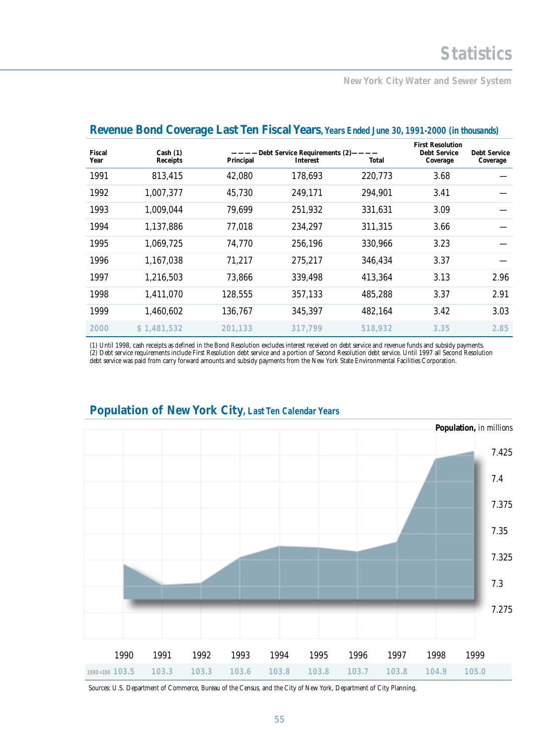## **New York City Water and Sewer System**

| Fiscal<br>Year | Cash $(1)$<br><b>Receipts</b> | Principal | -Debt Service Requirements (2)-<br>Interest | Total   | <b>First Resolution</b><br><b>Debt Service</b><br>Coverage | <b>Debt Service</b><br>Coverage |
|----------------|-------------------------------|-----------|---------------------------------------------|---------|------------------------------------------------------------|---------------------------------|
| 1991           | 813,415                       | 42,080    | 178,693                                     | 220,773 | 3.68                                                       |                                 |
| 1992           | 1,007,377                     | 45,730    | 249,171                                     | 294,901 | 3.41                                                       |                                 |
| 1993           | 1,009,044                     | 79,699    | 251,932                                     | 331,631 | 3.09                                                       |                                 |
| 1994           | 1,137,886                     | 77,018    | 234,297                                     | 311,315 | 3.66                                                       |                                 |
| 1995           | 1,069,725                     | 74,770    | 256,196                                     | 330,966 | 3.23                                                       |                                 |
| 1996           | 1,167,038                     | 71,217    | 275,217                                     | 346,434 | 3.37                                                       |                                 |
| 1997           | 1,216,503                     | 73,866    | 339,498                                     | 413,364 | 3.13                                                       | 2.96                            |
| 1998           | 1,411,070                     | 128,555   | 357,133                                     | 485,288 | 3.37                                                       | 2.91                            |
| 1999           | 1,460,602                     | 136,767   | 345,397                                     | 482,164 | 3.42                                                       | 3.03                            |
| 2000           | \$1,481,532                   | 201.133   | 317.799                                     | 518,932 | 3.35                                                       | 2.85                            |

## **Revenue Bond Coverage Last Ten Fiscal Years**, Years Ended June 30, 1991-2000 (in thousands)

(1) Until 1998, cash receipts as defined in the Bond Resolution excludes interest received on debt service and revenue funds and subsidy payments. (2) Debt service requirements include First Resolution debt service and a portion of Second Resolution debt service. Until 1997 all Second Resolution debt service was paid from carry forward amounts and subsidy payments from the New York State Environmental Facilities Corporation.



# **Population of New York City, Last Ten Calendar Years**

Sources: U.S. Department of Commerce, Bureau of the Census, and the City of New York, Department of City Planning.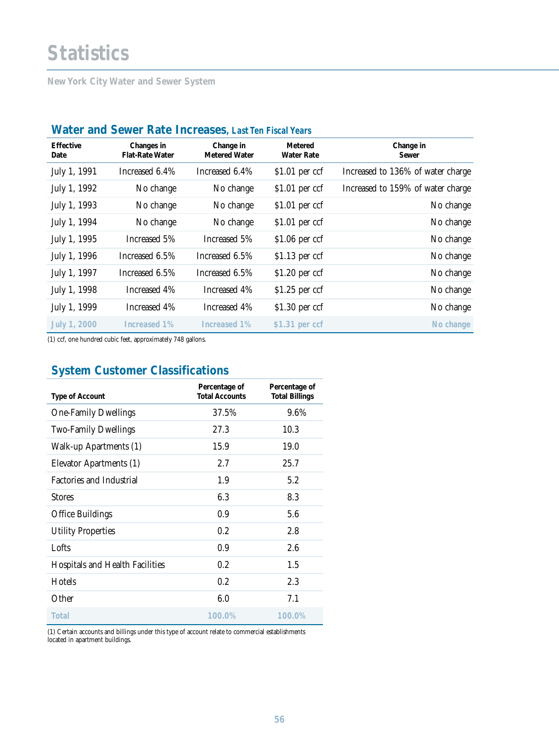# **Statistics**

**New York City Water and Sewer System** 

| <b>TRUCH QINI JUNUL INIU HIDI UGJUJ,</b> LASI ICH I ISUH ICAI S |                                      |                                   |                                     |                                   |  |  |
|-----------------------------------------------------------------|--------------------------------------|-----------------------------------|-------------------------------------|-----------------------------------|--|--|
| <b>Effective</b><br>Date                                        | Changes in<br><b>Flat-Rate Water</b> | Change in<br><b>Metered Water</b> | <b>Metered</b><br><b>Water Rate</b> | Change in<br>Sewer                |  |  |
| July 1, 1991                                                    | Increased 6.4%                       | Increased 6.4%                    | $$1.01$ per ccf                     | Increased to 136% of water charge |  |  |
| July 1, 1992                                                    | No change                            | No change                         | $$1.01$ per ccf                     | Increased to 159% of water charge |  |  |
| July 1, 1993                                                    | No change                            | No change                         | $$1.01$ per ccf                     | No change                         |  |  |
| July 1, 1994                                                    | No change                            | No change                         | $$1.01$ per ccf                     | No change                         |  |  |
| July 1, 1995                                                    | Increased 5%                         | Increased 5%                      | $$1.06$ per ccf                     | No change                         |  |  |
| July 1, 1996                                                    | Increased 6.5%                       | Increased 6.5%                    | $$1.13$ per ccf                     | No change                         |  |  |
| July 1, 1997                                                    | Increased 6.5%                       | Increased 6.5%                    | $$1.20$ per ccf                     | No change                         |  |  |
| July 1, 1998                                                    | Increased 4%                         | Increased 4%                      | $$1.25$ per ccf                     | No change                         |  |  |
| July 1, 1999                                                    | Increased 4%                         | Increased 4%                      | $$1.30$ per ccf                     | No change                         |  |  |
| July 1, 2000                                                    | Increased 1%                         | Increased 1%                      | \$1.31 per ccf                      | No change                         |  |  |

# **Water and Sewer Rate Increases, Last Ten Fiscal Years**

(1) ccf, one hundred cubic feet, approximately 748 gallons.

# **System Customer Classifications**

| <b>Type of Account</b>                 | Percentage of<br><b>Total Accounts</b> | Percentage of<br><b>Total Billings</b> |
|----------------------------------------|----------------------------------------|----------------------------------------|
| <b>One-Family Dwellings</b>            | 37.5%                                  | 9.6%                                   |
| <b>Two-Family Dwellings</b>            | 27.3                                   | 10.3                                   |
| Walk-up Apartments (1)                 | 15.9                                   | 19.0                                   |
| Elevator Apartments (1)                | 2.7                                    | 25.7                                   |
| <b>Factories and Industrial</b>        | 1.9                                    | 5.2                                    |
| <b>Stores</b>                          | 6.3                                    | 8.3                                    |
| <b>Office Buildings</b>                | 0.9                                    | 5.6                                    |
| <b>Utility Properties</b>              | 0.2                                    | 2.8                                    |
| Lofts                                  | 0.9                                    | 2.6                                    |
| <b>Hospitals and Health Facilities</b> | 0.2                                    | 1.5                                    |
| <b>Hotels</b>                          | 0.2                                    | 2.3                                    |
| Other                                  | 6.0                                    | 7.1                                    |
| Total                                  | $100.0\%$                              | 100.0%                                 |

(1) Certain accounts and billings under this type of account relate to commercial establishments located in apartment buildings.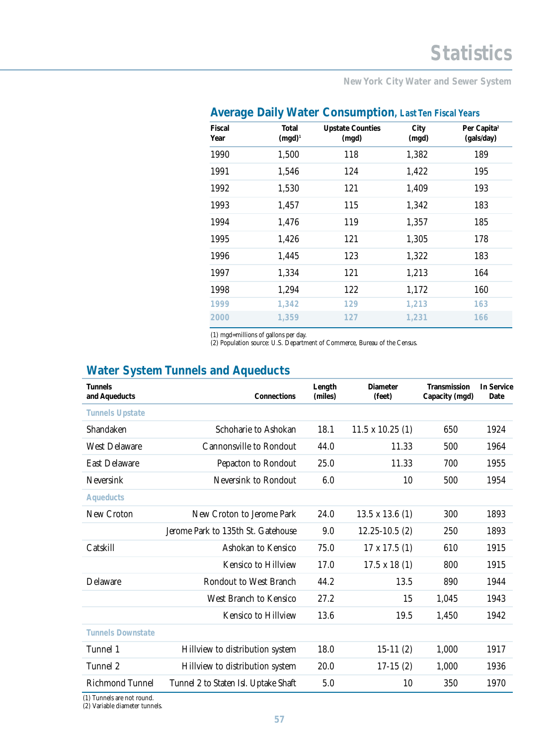**New York City Water and Sewer System** 

| ັ                     | ◢                  |                                  |               |                                       |
|-----------------------|--------------------|----------------------------------|---------------|---------------------------------------|
| <b>Fiscal</b><br>Year | Total<br>$(mgd)^1$ | <b>Upstate Counties</b><br>(mgd) | City<br>(mgd) | Per Capita <sup>2</sup><br>(gals/day) |
| 1990                  | 1,500              | 118                              | 1,382         | 189                                   |
| 1991                  | 1,546              | 124                              | 1,422         | 195                                   |
| 1992                  | 1,530              | 121                              | 1,409         | 193                                   |
| 1993                  | 1,457              | 115                              | 1,342         | 183                                   |
| 1994                  | 1,476              | 119                              | 1,357         | 185                                   |
| 1995                  | 1,426              | 121                              | 1,305         | 178                                   |
| 1996                  | 1,445              | 123                              | 1,322         | 183                                   |
| 1997                  | 1,334              | 121                              | 1,213         | 164                                   |
| 1998                  | 1,294              | 122                              | 1,172         | 160                                   |
| 1999                  | 1,342              | 129                              | 1,213         | 163                                   |
| 2000                  | 1,359              | 127                              | 1,231         | 166                                   |

# **Average Daily Water Consumption, Last Ten Fiscal Years**

(1) mgd=millions of gallons per day.

(2) Population source: U.S. Department of Commerce, Bureau of the Census.

# **Water System Tunnels and Aqueducts**

| <b>Tunnels</b><br>and Aqueducts | Connections                          | Length<br>(miles) | <b>Diameter</b><br>(feet) | <b>Transmission</b><br>Capacity (mgd) | <b>In Service</b><br>Date |
|---------------------------------|--------------------------------------|-------------------|---------------------------|---------------------------------------|---------------------------|
| <b>Tunnels Upstate</b>          |                                      |                   |                           |                                       |                           |
| Shandaken                       | Schoharie to Ashokan                 | 18.1              | $11.5 \times 10.25$ (1)   | 650                                   | 1924                      |
| <b>West Delaware</b>            | <b>Cannonsville to Rondout</b>       | 44.0              | 11.33                     | 500                                   | 1964                      |
| <b>East Delaware</b>            | Pepacton to Rondout                  | 25.0              | 11.33                     | 700                                   | 1955                      |
| <b>Neversink</b>                | Neversink to Rondout                 | 6.0               | 10                        | 500                                   | 1954                      |
| <b>Aqueducts</b>                |                                      |                   |                           |                                       |                           |
| New Croton                      | New Croton to Jerome Park            | 24.0              | $13.5 \times 13.6$ (1)    | 300                                   | 1893                      |
|                                 | Jerome Park to 135th St. Gatehouse   | 9.0               | $12.25 - 10.5(2)$         | 250                                   | 1893                      |
| Catskill                        | Ashokan to Kensico                   | 75.0              | $17 \times 17.5$ (1)      | 610                                   | 1915                      |
|                                 | <b>Kensico to Hillview</b>           | 17.0              | $17.5 \times 18(1)$       | 800                                   | 1915                      |
| Delaware                        | Rondout to West Branch               | 44.2              | 13.5                      | 890                                   | 1944                      |
|                                 | West Branch to Kensico               | 27.2              | 15                        | 1,045                                 | 1943                      |
|                                 | <b>Kensico to Hillview</b>           | 13.6              | 19.5                      | 1,450                                 | 1942                      |
| <b>Tunnels Downstate</b>        |                                      |                   |                           |                                       |                           |
| Tunnel 1                        | Hillview to distribution system      | 18.0              | $15-11(2)$                | 1,000                                 | 1917                      |
| Tunnel 2                        | Hillview to distribution system      | 20.0              | $17-15(2)$                | 1,000                                 | 1936                      |
| <b>Richmond Tunnel</b>          | Tunnel 2 to Staten Isl. Uptake Shaft | 5.0               | 10                        | 350                                   | 1970                      |

(1) Tunnels are not round.

(2) Variable diameter tunnels.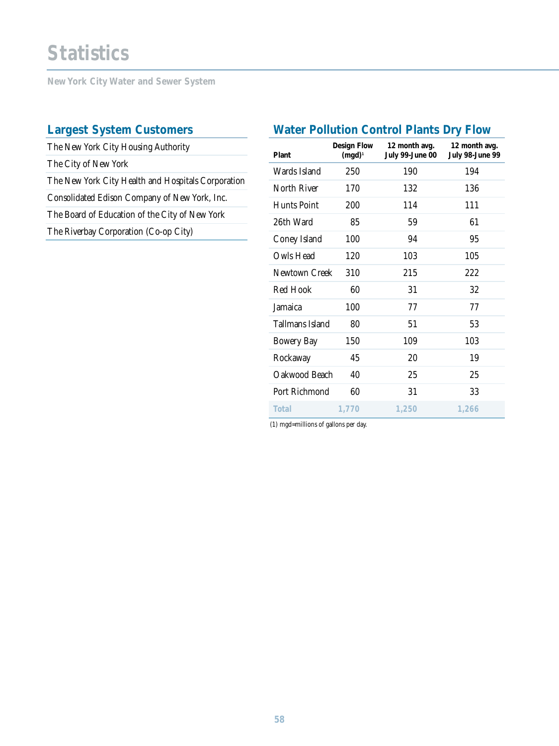# **Statistics**

**New York City Water and Sewer System** 

# **Largest System Customers**

The New York City Housing Authority The City of New York The New York City Health and Hospitals Corporation Consolidated Edison Company of New York, Inc. The Board of Education of the City of New York The Riverbay Corporation (Co-op City)

# **Water Pollution Control Plants Dry Flow**

| Plant              | <b>Design Flow</b><br>$(mgd)^1$ | 12 month avg.<br>July 99-June 00 | 12 month avg.<br>July 98-June 99 |
|--------------------|---------------------------------|----------------------------------|----------------------------------|
| Wards Island       | 250                             | 190                              | 194                              |
| North River        | 170                             | 132                              | 136                              |
| <b>Hunts Point</b> | 200                             | 114                              | 111                              |
| 26th Ward          | 85                              | 59                               | 61                               |
| Coney Island       | 100                             | 94                               | 95                               |
| Owls Head          | 120                             | 103                              | 105                              |
| Newtown Creek      | 310                             | 215                              | 222                              |
| <b>Red Hook</b>    | 60                              | 31                               | 32                               |
| Jamaica            | 100                             | 77                               | 77                               |
| Tallmans Island    | 80                              | 51                               | 53                               |
| <b>Bowery Bay</b>  | 150                             | 109                              | 103                              |
| Rockaway           | 45                              | 20                               | 19                               |
| Oakwood Beach      | 40                              | 25                               | 25                               |
| Port Richmond      | 60                              | 31                               | 33                               |
| Total              | 1,770                           | 1,250                            | 1,266                            |

(1) mgd=millions of gallons per day.